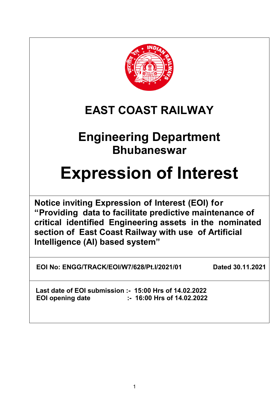

# **EAST COAST RAILWAY**

# **Engineering Department Bhubaneswar**

# **Expression of Interest**

**Notice inviting Expression of Interest (EOI) for "Providing data to facilitate predictive maintenance of critical identified Engineering assets in the nominated section of East Coast Railway with use of Artificial Intelligence (AI) based system"**

**EOI No: ENGG/TRACK/EOI/W7/628/Pt.I/2021/01 Dated 30.11.2021**

 **Last date of EOI submission :- 15:00 Hrs of 14.02.2022 EOI opening date :- 16:00 Hrs of 14.02.2022**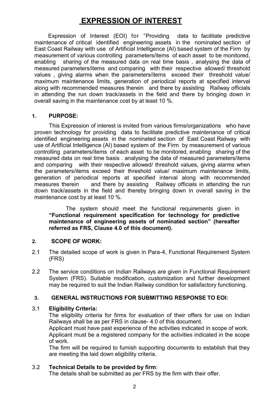# **EXPRESSION OF INTEREST**

 Expression of Interest (EOI) for "Providing data to facilitate predictive maintenance of critical identified engineering assets in the nominated section of East Coast Railway with use of Artificial Intelligence (AI) based system of the Firm by measurement of various controlling parameters/items of each asset to be monitored, enabling sharing of the measured data on real time basis . analysing the data of measured parameters/items and comparing with their respective allowed/ threshold values , giving alarms when the parameters/items exceed their threshold value/ maximum maintenance limits, generation of periodical reports at specified interval along with recommended measures therein and there by assisting Railway officials in attending the run down track/assets in the field and there by bringing down in overall saving in the maintenance cost by at least 10 %.

# **1. PURPOSE:**

This Expression of interest is invited from various firms/organizations who have proven technology for providing data to facilitate predictive maintenance of critical identified engineering assets in the nominated section of East Coast Railway with use of Artificial Intelligence (AI) based system of the Firm by measurement of various controlling parameters/items of each asset to be monitored, enabling sharing of the measured data on real time basis . analysing the data of measured parameters/items and comparing with their respective allowed/ threshold values, giving alarms when the parameters/items exceed their threshold value/ maximum maintenance limits, generation of periodical reports at specified interval along with recommended measures therein and there by assisting Railway officials in attending the run down track/assets in the field and thereby bringing down in overall saving in the maintenance cost by at least 10 %.

 The system should meet the functional requirements given in **"Functional requirement specification for technology for predictive maintenance of engineering assets of nominated section" (hereafter referred as FRS, Clause 4.0 of this document).** 

# **2. SCOPE OF WORK:**

- 2.1 The detailed scope of work is given in Para-4, Functional Requirement System (FRS)
- 2.2 The service conditions on Indian Railways are given in Functional Requirement System (FRS). Suitable modification, customization and further development may be required to suit the Indian Railway condition for satisfactory functioning.

# **3. GENERAL INSTRUCTIONS FOR SUBMITTING RESPONSE TO EOI:**

# 3.1 **Eligibility Criteria:**

The eligibility criteria for firms for evaluation of their offers for use on Indian Railways shall be as per FRS in clause- 4.0 of this document.

Applicant must have past experience of the activities indicated in scope of work. Applicant must be a registered company for the activities indicated in the scope of work.

The firm will be required to furnish supporting documents to establish that they are meeting the laid down eligibility criteria.

# 3.2 **Technical Details to be provided by firm**:

The details shall be submitted as per FRS by the firm with their offer.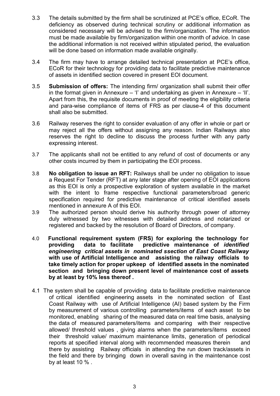- 3.3 The details submitted by the firm shall be scrutinized at PCE's office, ECoR. The deficiency as observed during technical scrutiny or additional information as considered necessary will be advised to the firm/organization. The information must be made available by firm/organization within one month of advice. In case the additional information is not received within stipulated period, the evaluation will be done based on information made available originally.
- 3.4 The firm may have to arrange detailed technical presentation at PCE's office, ECoR for their technology for providing data to facilitate predictive maintenance of assets in identified section covered in present EOI document.
- 3.5 **Submission of offers:** The intending firm/ organization shall submit their offer in the format given in Annexure – 'I' and undertaking as given in Annexure – 'II'. Apart from this, the requisite documents in proof of meeting the eligibility criteria and para-wise compliance of items of FRS as per clause-4 of this document shall also be submitted.
- 3.6 Railway reserves the right to consider evaluation of any offer in whole or part or may reject all the offers without assigning any reason. Indian Railways also reserves the right to decline to discuss the process further with any party expressing interest.
- 3.7 The applicants shall not be entitled to any refund of cost of documents or any other costs incurred by them in participating the EOI process.
- 3.8 **No obligation to issue an RFT:** Railways shall be under no obligation to issue a Request For Tender (RFT) at any later stage after opening of EOI applications as this EOI is only a prospective exploration of system available in the market with the intent to frame respective functional parameters/broad generic specification required for predictive maintenance of critical identified assets mentioned in annexure A of this EOI.
- 3.9 The authorized person should derive his authority through power of attorney duly witnessed by two witnesses with detailed address and notarized or registered and backed by the resolution of Board of Directors, of company.
- 4.0 **Functional requirement system (FRS) for exploring the technology for providing data to facilitate predictive maintenance of** *identified engineering critical assets in nominated ssection of East Coast Railway*  **with use of Artificial Intelligence and assisting the railway officials to take timely action for proper upkeep of identified assets in the nominated section and bringing down present level of maintenance cost of assets by at least by 10% less thereof .**
- 4.1 The system shall be capable of providing data to facilitate predictive maintenance of critical identified engineering assets in the nominated section of East Coast Railway with use of Artificial Intelligence (AI) based system by the Firm by measurement of various controlling parameters/items of each asset to be monitored, enabling sharing of the measured data on real time basis, analysing the data of measured parameters/items and comparing with their respective allowed/ threshold values , giving alarms when the parameters/items exceed their threshold value/ maximum maintenance limits, generation of periodical reports at specified interval along with recommended measures therein and there by assisting Railway officials in attending the run down track/assets in the field and there by bringing down in overall saving in the maintenance cost by at least 10 % .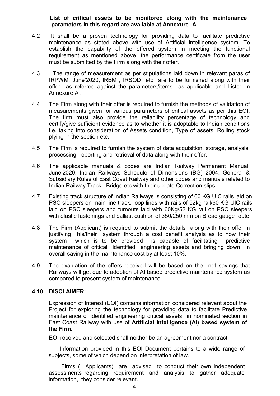# **List of critical assets to be monitored along with the maintenance parameters in this regard are available at Annexure -A**

- 4.2 It shall be a proven technology for providing data to facilitate predictive maintenance as stated above with use of Artificial intelligence system. To establish the capability of the offered system in meeting the functional requirement as mentioned above, the performance certificate from the user must be submitted by the Firm along with their offer.
- 4.3 The range of measurement as per stipulations laid down in relevant paras of IRPWM, June'2020, IRBM , IRSOD etc are to be furnished along with their offer as referred against the parameters/items as applicable and Listed in Annexure A .
- 4.4 The Firm along with their offer is required to furnish the methods of validation of measurements given for various parameters of critical assets as per this EOI. The firm must also provide the reliability percentage of technology and certify/give sufficient evidence as to whether it is adoptable to Indian conditions i.e. taking into consideration of Assets condition, Type of assets, Rolling stock plying in the section etc.
- 4.5 The Firm is required to furnish the system of data acquisition, storage, analysis, processing, reporting and retrieval of data along with their offer.
- 4.6 The applicable manuals & codes are Indian Railway Permanent Manual, June'2020, Indian Railways Schedule of Dimensions (BG) 2004, General & Subsidiary Rules of East Coast Railway and other codes and manuals related to Indian Railway Track., Bridge etc with their update Correction slips.
- 4.7 Existing track structure of Indian Railways is consisting of 60 KG UIC rails laid on PSC sleepers on main line track, loop lines with rails of 52kg rail/60 KG UIC rails laid on PSC sleepers and turnouts laid with 60Kg/52 KG rail on PSC sleepers with elastic fastenings and ballast cushion of 350/250 mm on Broad gauge route.
- 4.8 The Firm (Applicant) is required to submit the details along with their offer in justifying his/their system through a cost benefit analysis as to how their system which is to be provided is capable of facilitating predictive maintenance of critical identified engineering assets and bringing down in overall saving in the maintenance cost by at least 10%.
- 4.9 The evaluation of the offers received will be based on the net savings that Railways will get due to adoption of AI based predictive maintenance system as compared to present system of maintenance

# **4.10 DISCLAIMER:**

Expression of Interest (EOI) contains information considered relevant about the Project for exploring the technology for providing data to facilitate Predictive maintenance of identified engineering critical assets in nominated section in East Coast Railway with use of **Artificial Intelligence (AI) based system of the Firm.**

EOI received and selected shall neither be an agreement nor a contract.

 Information provided in this EOI Document pertains to a wide range of subjects, some of which depend on interpretation of law.

 Firms ( Applicants) are advised to conduct their own independent assessments regarding requirement and analysis to gather adequate information, they consider relevant.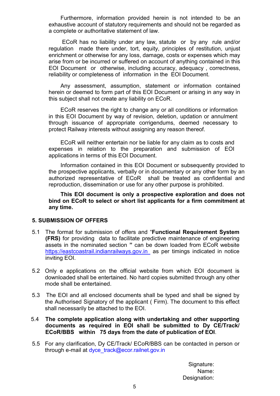Furthermore, information provided herein is not intended to be an exhaustive account of statutory requirements and should not be regarded as a complete or authoritative statement of law.

 ECoR has no liability under any law, statute or by any rule and/or regulation made there under, tort, equity, principles of restitution, unjust enrichment or otherwise for any loss, damage, costs or expenses which may arise from or be incurred or suffered on account of anything contained in this EOI Document or otherwise, including accuracy, adequacy , correctness, reliability or completeness of information in the EOI Document.

Any assessment, assumption, statement or information contained herein or deemed to form part of this EOI Document or arising in any way in this subject shall not create any liability on ECoR.

ECoR reserves the right to change any or all conditions or information in this EOI Document by way of revision, deletion, updation or annulment through issuance of appropriate corrigendums, deemed necessary to protect Railway interests without assigning any reason thereof.

ECoR will neither entertain nor be liable for any claim as to costs and expenses in relation to the preparation and submission of EOI applications in terms of this EOI Document.

Information contained in this EOI Document or subsequently provided to the prospective applicants, verbally or in documentary or any other form by an authorized representative of ECoR shall be treated as confidential and reproduction, dissemination or use for any other purpose is prohibited.

**This EOI document is only a prospective exploration and does not bind on ECoR to select or short list applicants for a firm commitment at any time.** 

## **5. SUBMISSION OF OFFERS**

- 5.1 The format for submission of offers and "**Functional Requirement System (FRS)** for providing data to facilitate predictive maintenance of engineering assets in the nominated section **"** can be down loaded from ECoR website [https://eastcoastrail.indianrailways.gov.in](https://eastcoastrail.indianrailways.gov.in/) as per timings indicated in notice inviting EOI.
- 5.2 Only e applications on the official website from which EOI document is downloaded shall be entertained. No hard copies submitted through any other mode shall be entertained.
- 5.3 The EOI and all enclosed documents shall be typed and shall be signed by the Authorised Signatory of the applicant ( Firm). The document to this effect shall necessarily be attached to the EOI.
- 5.4 **The complete application along with undertaking and other supporting documents as required in EOI shall be submitted to Dy CE/Track/ ECoR/BBS within 75 days from the date of publication of EOI**.
- 5.5 For any clarification, Dy CE/Track/ ECoR/BBS can be contacted in person or through e-mail at dyce\_track@ecor.railnet.gov.in

Signature: Name: Designation: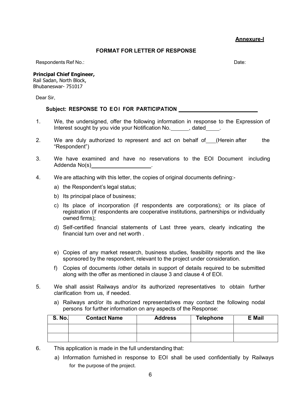**Annexure-I** 

#### **FORMAT FOR LETTER OF RESPONSE**

Respondents Ref No.: **Date:** Date: **Date:** Date: **Date:** Date: **Date:** Date: **Date:** Date: **Date: Date: Date: Date: Date: Date: Date: Date: Date: Date: Date: Date: Date: Date: Date: Date: Da** 

**Principal Chief Engineer,** 

Rail Sadan, North Block, Bhubaneswar- 751017

Dear Sir,

#### Subject: RESPONSE TO EOI FOR PARTICIPATION **William CONSTRUSS**

- 1. We, the undersigned, offer the following information in response to the Expression of Interest sought by you vide your Notification No. The dated and the sought by you vide your Notification No.
- 2. We are duly authorized to represent and act on behalf of (Herein after the "Respondent")
- 3. We have examined and have no reservations to the EOI Document including Addenda No(s) <u>\_\_\_\_\_\_\_\_\_\_\_\_\_\_\_\_\_\_\_\_\_</u>
- 4. We are attaching with this letter, the copies of original documents defining:
	- a) the Respondent's legal status;
	- b) Its principal place of business;
	- c) Its place of incorporation (if respondents are corporations); or its place of registration (if respondents are cooperative institutions, partnerships or individually owned firms);
	- d) Self-certified financial statements of Last three years, clearly indicating the financial turn over and net worth .
	- e) Copies of any market research, business studies, feasibility reports and the like sponsored by the respondent, relevant to the project under consideration.
	- f) Copies of documents /other details in support of details required to be submitted along with the offer as mentioned in clause 3 and clause 4 of EOI.
- 5. We shall assist Railways and/or its authorized representatives to obtain further clarification from us, if needed.
	- a) Railways and/or its authorized representatives may contact the following nodal persons for further information on any aspects of the Response:

| <b>S. No.</b> | <b>Contact Name</b> | <b>Address</b> | <b>Telephone</b> | <b>E</b> Mail |
|---------------|---------------------|----------------|------------------|---------------|
|               |                     |                |                  |               |
|               |                     |                |                  |               |

- 6. This application is made in the full understanding that:
	- a) Information furnished in response to EOI shall be used confidentially by Railways for the purpose of the project.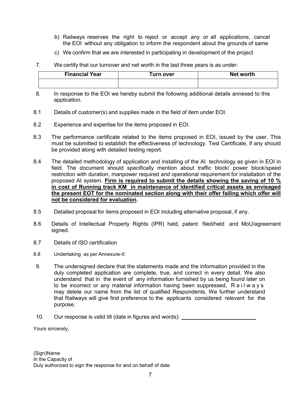- b) Railways reserves the right to reject or accept any or all applications, cancel the EOI without any obligation to inform the respondent about the grounds of same
- c) We confirm that we are interested in participating in development of the project
- 7. We certify that our turnover and net worth in the last three years is as under:

| <b>Financial Year</b> | ⊺urn over | Net worth |
|-----------------------|-----------|-----------|
|                       |           |           |

- 8. In response to the EOI we hereby submit the following additional details annexed to this application.
- 8.1 Details of customer(s) and supplies made in the field of item under EOI.
- 8.2 Experience and expertise for the items proposed in EOI.
- 8.3 The performance certificate related to the items proposed in EOI, issued by the user. This must be submitted to establish the effectiveness of technology. Test Certificate, if any should be provided along with detailed testing report.
- 8.4 The detailed methodology of application and installing of the AI technology as given in EOI in field. The document should specifically mention about traffic block/ power block/speed restriction with duration, manpower required and operational requirement for installation of the proposed AI system. **Firm is required to submit the details showing the saving of 10 % in cost of Running track KM in maintenance of identified critical assets as envisaged the present EOT for the nominated section along with their offer failing which offer will not be considered for evaluation.**
- 8.5 Detailed proposal for items proposed in EOI including alternative proposal, if any.
- 8.6 Details of Intellectual Property Rights (IPR) held, patent filed/held and MoU/agreement signed.
- 8.7 Details of ISO certification
- 8.8 Undertaking as per Annexure-II:
- 9. The undersigned declare that the statements made and the information provided in the duly completed application are complete, true, and correct in every detail. We also understand that in the event of any information furnished by us being found later on to be incorrect or any material information having been suppressed, R a i l w a y s may delete our name from the list of qualified Respondents. We further understand that Railways will give first preference to the applicants considered relevant for the purpose.
- 10. Our response is valid till (date in figures and words):

Yours sincerely,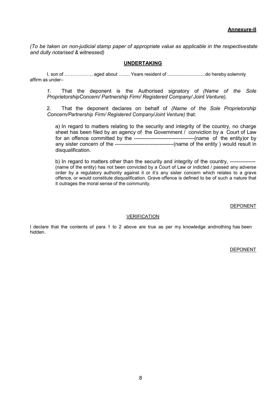*(To be taken on non-judicial stamp paper of appropriate value as applicable in the respective state and dully notarised & witnessed)* 

#### **UNDERTAKING**

I, son of ……………… aged about …..... Years resident of ............................. do hereby solemnly affirm as under–

*1.* That the deponent is the Authorised signatory of *(Name of the Sole Proprietorship Concern/ Partnership Firm/ Registered Company/ Joint Venture).* 

2. That the deponent declares on behalf of *(Name of the Sole Proprietorship Concern/ Partnership Firm/ Registered Company/Joint Venture)* that:

a) In regard to matters relating to the security and integrity of the country, no charge sheet has been filed by an agency of the Government / conviction by a Court of Law for an offence committed by the -----------------------------------(name of the entity)or by any sister concern of the ----------------------------------(name of the entity ) would result in disqualification.

b) In regard to matters other than the security and integrity of the country, ---------------(name of the entity) has not been convicted by a Court of Law or indicted / passed any adverse order by a regulatory authority against it or it's any sister concern which relates to a grave offence, or would constitute disqualification. Grave offence is defined to be of such a nature that it outrages the moral sense of the community.

DEPONENT

#### VERIFICATION

I declare that the contents of para 1 to 2 above are true as per my knowledge and nothing has been hidden.

DEPONENT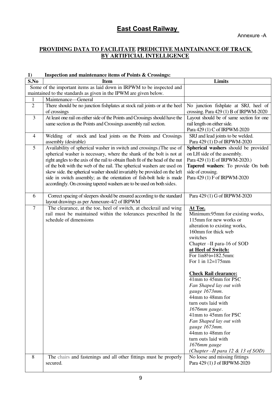# **East Coast Railway**

# **PROVIDING DATA TO FACILITATE PREDICTIVE MAINTAINANCE OF TRACK BY ARTIFICIAL INTELLIGENCE**

#### **1) Inspection and maintenance items of Points & Crossings:**

| S.No           | <b>Item</b>                                                                                | Limits                                                                          |
|----------------|--------------------------------------------------------------------------------------------|---------------------------------------------------------------------------------|
|                | Some of the important items as laid down in IRPWM to be inspected and                      |                                                                                 |
|                | maintained to the standards as given in the IPWM are given below.                          |                                                                                 |
| 1              | Maintenance-General                                                                        |                                                                                 |
| $\overline{2}$ | There should be no junction fishplates at stock rail joints or at the heel<br>of crossings | No junction fishplate at SRJ, heel of<br>crossing. Para 429 (1) B of IRPWM-2020 |
| $\mathfrak{Z}$ | At least one rail on either side of the Points and Crossings should have the               | Layout should be of same section for one                                        |
|                | same section as the Points and Crossings assembly rail section.                            | rail length on either side.                                                     |
|                |                                                                                            | Para 429 (1) C of IRPWM-2020                                                    |
| $\overline{4}$ | Welding of stock and lead joints on the Points and Crossings                               | SRJ and lead joints to be welded.                                               |
|                | assembly (desirable)                                                                       | Para 429 (1) D of IRPWM-2020                                                    |
| 5              | Availability of spherical washer in switch and crossings.(The use of                       | Spherical washers should be provided                                            |
|                | spherical washer is necessary, where the shank of the bolt is not at                       | on LH side of the assembly.                                                     |
|                | right angles to the axis of the rail to obtain flush fit of the head of the nut            | Para 429 (1) E of IRPWM-2020.)                                                  |
|                | of the bolt with the web of the rail. The spherical washers are used on                    | Tapered washers: To provide On both                                             |
|                | skew side. the spherical washer should invariably be provided on the left                  | side of crossing.                                                               |
|                | side in switch assembly; as the orientation of fish-bolt hole is made                      | Para 429 (1) F of IRPWM-2020                                                    |
|                | accordingly. On crossing tapered washers are to be used on both sides.                     |                                                                                 |
|                |                                                                                            |                                                                                 |
| 6              | Correct spacing of sleepers should be ensured according to the standard                    | Para 429 (1) G of IRPWM-2020                                                    |
|                | layout drawings as per Annexure-4/2 of IRPWM                                               |                                                                                 |
| $\overline{7}$ | The clearance, at the toe, heel of switch, at checkrail and wing                           | At Toe.                                                                         |
|                | rail must be maintained within the tolerances prescribed In the                            | Minimum:95mm for existing works,                                                |
|                | schedule of dimensions                                                                     | 115mm for new works or                                                          |
|                |                                                                                            | alteration to existing works,                                                   |
|                |                                                                                            | 160mm for thick web                                                             |
|                |                                                                                            | switches                                                                        |
|                |                                                                                            | Chapter --II para-16 of SOD                                                     |
|                |                                                                                            | at Heel of Switch:                                                              |
|                |                                                                                            | For 1in81/2=182.5mm:                                                            |
|                |                                                                                            | For 1 in 12=175mm                                                               |
|                |                                                                                            |                                                                                 |
|                |                                                                                            | <b>Check Rail clearance:</b>                                                    |
|                |                                                                                            | 41mm to 45mm for PSC                                                            |
|                |                                                                                            | Fan Shaped lay out with                                                         |
|                |                                                                                            | gauge 1673mm.                                                                   |
|                |                                                                                            | 44mm to 48mm for                                                                |
|                |                                                                                            | turn outs laid with                                                             |
|                |                                                                                            | 1676mm gauge.                                                                   |
|                |                                                                                            | 41mm to 45mm for PSC                                                            |
|                |                                                                                            | Fan Shaped lay out with                                                         |
|                |                                                                                            | gauge 1673mm.                                                                   |
|                |                                                                                            | 44mm to 48mm for                                                                |
|                |                                                                                            | turn outs laid with                                                             |
|                |                                                                                            | 1676mm gauge                                                                    |
|                |                                                                                            | (Chapter $-II$ para 12 & 13 of SOD)                                             |
| 8              | The chairs and fastenings and all other fittings must he properly                          | No loose and missing fittings                                                   |
|                | secured.                                                                                   | Para 429 (1) J of IRPWM-2020                                                    |
|                |                                                                                            |                                                                                 |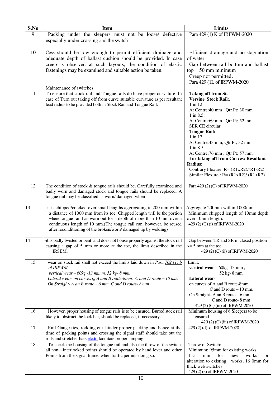| S.No            | <b>Item</b>                                                                                                                                                                                                                                                                                                                                                          | <b>Limits</b>                                                                                                                                                                                                                                                                                                                                                                                                                               |
|-----------------|----------------------------------------------------------------------------------------------------------------------------------------------------------------------------------------------------------------------------------------------------------------------------------------------------------------------------------------------------------------------|---------------------------------------------------------------------------------------------------------------------------------------------------------------------------------------------------------------------------------------------------------------------------------------------------------------------------------------------------------------------------------------------------------------------------------------------|
| 9               | Packing under the sleepers must not be loose/ defective<br>especially under crossing and the switch                                                                                                                                                                                                                                                                  | Para 429 (1) K of IRPWM-2020                                                                                                                                                                                                                                                                                                                                                                                                                |
| 10              | Cess should be low enough to permit efficient drainage and<br>adequate depth of ballast cushion should be provided. In case<br>creep is observed at such layouts, the condition of elastic<br>fastenings may be examined and suitable action be taken.                                                                                                               | Efficient drainage and no stagnation<br>of water.<br>Gap between rail bottom and ballast<br>$top = 50$ mm minimum<br>Creep not permitted.<br>Para 429 (1L of IRPWM-2020                                                                                                                                                                                                                                                                     |
| 11              | Maintenance of switches.                                                                                                                                                                                                                                                                                                                                             |                                                                                                                                                                                                                                                                                                                                                                                                                                             |
|                 | To ensure that stock rail and Tongue rails do have proper curvature. In<br>case of Turn out taking off from curve suitable curvature as per resultant<br>lead radius to be provided both in Stock Rail and Tongue Rail.                                                                                                                                              | Taking off from St.<br><b>Versine Stock Rail:.</b><br>1 in 12:<br>At Centre: 40 mm, Qtr Pt; 30 mm<br>$1$ in 8.5:<br>At Centre:69 mm, Qtr Pt; 52 mm<br><b>SER CE circular</b><br><b>Tongue Rail:</b><br>1 in 12:<br>At Centre: 43 mm, Qtr Pt; 32 mm<br>1 in 8.5<br>At Centre: 76 mm, Qtr Pt; 57 mm.<br>For taking off from Curves: Resultant<br>Radius:<br>Contrary Flexure: $R = (R1xR2)/(R1-R2)$<br>Similar Flexure: $R = (R1xR2)/(R1+R2)$ |
| 12              | The condition of stock $&$ tongue rails should be. Carefully examined and<br>badly worn and damaged stock and tongue rails should be replaced. A<br>tongue rail may be classified as worn/ damaged when-                                                                                                                                                             | Para 429 (2) (C) of IRPWM-2020                                                                                                                                                                                                                                                                                                                                                                                                              |
| 13              | -it is chipped/cracked over small lengths aggregating to 200 mm within<br>a distance of 1000 mm from its toe. Chipped length will be the portion<br>where tongue rail has worn out for a depth of more than 10 mm over a<br>continuous length of 10 mm. (The tongue rail can, however, be reused<br>after reconditioning of the broken/worn/ damaged tip by welding) | Aggregate 200mm within 1000mm<br>Minimum chipped length of 10mm depth<br>over 10mm length.<br>429 (2) (C) (i) of IRPWM-2020                                                                                                                                                                                                                                                                                                                 |
| $\overline{14}$ | -it is badly twisted or bent .and does not house properly against the stock rail<br>causing a gap of 5 mm or more at the toe, the limit described in the<br>IRSEM.                                                                                                                                                                                                   | Gap between TR and SR in closed position<br>$\leq$ 5 mm at the toe.<br>429 (2) (C) (ii) of IRPWM-2020                                                                                                                                                                                                                                                                                                                                       |
| 15              | wear on stock rail shall not exceed the limits laid down in Para 702 (1) b<br>of IRPWM<br>vertical wear $-60kg - 13$ mm m, 52 kg-8 mm,<br>Lateral wear- on curves of A and B route-8mm, $C$ and D route $-10$ mm.<br>On Straight-A an B route $-6$ mm, C and D route-8 mm                                                                                            | Limit:<br>vertical wear $-60kg - 13mm$ ,<br>52 kg-8 mm,<br>Lateral wear-<br>on curves of A and B route-8mm,<br>C and D route $-10$ mm.<br>On Straight- A an B route $-6$ mm,<br>C and D route-8 mm<br>429 (2) (C) (iii) of IRPWM-2020                                                                                                                                                                                                       |
| 16              | However, proper housing of tongue rails is to be ensured. Burred stock rail<br>likely to obstruct the lock bar, should be replaced, if necessary.                                                                                                                                                                                                                    | Minimum housing of 6 Sleepers to be<br>ensured<br>429 (2) (C) (iii) of IRPWM-2020                                                                                                                                                                                                                                                                                                                                                           |
| 17              | Rail Gauge ties, rodding etc. hinder proper packing and hence at the<br>time of packing points and crossing the signal staff should take out the<br>rods and stretcher bars etc.to facilitate proper tamping.                                                                                                                                                        | 429 (2) (d) of IRPWM-2020                                                                                                                                                                                                                                                                                                                                                                                                                   |
| 18              | To check the housing of the tongue rail and also the throw of the switch,<br>all non-interlocked points should be operated by hand lever and other<br>Points from the signal frame, when traffic permits doing so.                                                                                                                                                   | Throw of Switch:<br>Minimum: 95mm for existing works,<br>115<br>for<br>works<br>mm<br>new<br>or<br>alteration to existing<br>works, 16 0mm for<br>thick web switches<br>429 (2) (e) of IRPWM-2020                                                                                                                                                                                                                                           |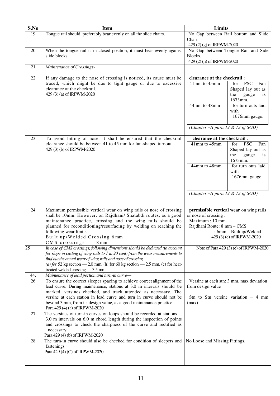| S.No | <b>Item</b>                                                                                                                                        | Limits                                                           |     |
|------|----------------------------------------------------------------------------------------------------------------------------------------------------|------------------------------------------------------------------|-----|
| 19   | Tongue rail should, preferably bear evenly on all the slide chairs.                                                                                | No Gap between Rail bottom and Slide                             |     |
|      |                                                                                                                                                    | Chair.                                                           |     |
| 20   | When the tongue rail is in closed position, it must bear evenly against                                                                            | 429 (2) (g) of IRPWM-2020<br>No Gap between Tongue Rail and Side |     |
|      | slide blocks.                                                                                                                                      | Blocks.                                                          |     |
|      |                                                                                                                                                    | 429 (2) (h) of IRPWM-2020                                        |     |
| 21   | Maintenance of Crossings-                                                                                                                          |                                                                  |     |
| 22   | If any damage to the nose of crossing is noticed, its cause must be                                                                                | clearance at the checkrail:                                      |     |
|      | traced, which might be due to tight gauge or due to excessive<br>clearance at the checkrail.                                                       | 41mm to 45mm<br><b>PSC</b><br>Fan<br>for<br>Shaped lay out as    |     |
|      | 429 (3) (a) of IRPWM-2020                                                                                                                          | the<br>gauge                                                     | is. |
|      |                                                                                                                                                    | 1673mm.<br>for turn outs laid<br>44mm to 48mm                    |     |
|      |                                                                                                                                                    | with                                                             |     |
|      |                                                                                                                                                    | 1676mm gauge.                                                    |     |
|      |                                                                                                                                                    |                                                                  |     |
|      |                                                                                                                                                    | (Chapter - II para 12 & 13 of SOD)                               |     |
| 23   | To avoid hitting of nose, it shall be ensured that the checkrail                                                                                   | clearance at the checkrail:                                      |     |
|      | clearance should be between 41 to 45 mm for fan-shaped turnout.<br>429 (3) (b) of IRPWM-2020                                                       | 41mm to 45mm<br><b>PSC</b><br>Fan<br>for<br>Shaped lay out as    |     |
|      |                                                                                                                                                    | the<br>gauge                                                     | is. |
|      |                                                                                                                                                    | 1673mm.                                                          |     |
|      |                                                                                                                                                    | for turn outs laid<br>44mm to 48mm<br>with                       |     |
|      |                                                                                                                                                    | 1676mm gauge.                                                    |     |
|      |                                                                                                                                                    |                                                                  |     |
|      |                                                                                                                                                    | (Chapter - II para 12 & 13 of SOD)                               |     |
|      |                                                                                                                                                    |                                                                  |     |
|      |                                                                                                                                                    |                                                                  |     |
| 24   | Maximum permissible vertical wear on wing rails or nose of crossing<br>shall be 10mm. However, on Rajdhani/ Shatabdi routes, as a good             | permissible vertical wear on wing rails<br>or nose of crossing : |     |
|      | maintenance practice, crossing and the wing rails should be                                                                                        | Maximum: 10 mm.                                                  |     |
|      | planned for reconditioning/resurfacing by welding on reaching the                                                                                  | Rajdhani Route: 8 mm - CMS                                       |     |
|      | following wear limits                                                                                                                              | : 6mm - Builtup/Welded                                           |     |
|      | Built up/Welded Crossing 6 mm<br>CMS crossings<br>$8 \text{ mm}$                                                                                   | 429 (3) (e) of IRPWM-2020                                        |     |
| 25   | In case of CMS crossings, following dimensions should be deducted (to account                                                                      | Note of Para 429 (3) (e) of IRPWM-2020                           |     |
|      | for slope in casting of wing rails to $1$ in $20$ cant) from the wear measurements to                                                              |                                                                  |     |
|      | find out the actual wear of wing rails and nose of crossing.<br>(a) for 52 kg section $-2.0$ mm. (h) for 60 kg section $-2.5$ mm. (c) for heat-    |                                                                  |     |
|      | treated welded crossing - 3.5 mm.                                                                                                                  |                                                                  |     |
| 44.  | Maintenance of lead portion and turn-in curve-                                                                                                     |                                                                  |     |
| 26   | To ensure the correct sleeper spacing to achieve correct alignment of the                                                                          | Versine at each stn: 3 mm. max deviation                         |     |
|      | lead curve. During maintenance, stations at 3.0 m intervals should be<br>marked, versines checked, and track attended as necessary. The            | from design value                                                |     |
|      | versine at each station in lead curve and turn in curve should not be                                                                              | Stn to Stn versine variation $= 4$ mm                            |     |
|      | beyond 3 mm, from its design value, as a good maintenance practice.                                                                                | (max)                                                            |     |
|      | Para 429 (4) (a) of IRPWM-2020                                                                                                                     |                                                                  |     |
| 27   | The versines of turn-in curves on loops should be recorded at stations at<br>3.0 m intervals on 6.0 m chord length during the inspection of points |                                                                  |     |
|      | and crossings to check the sharpness of the curve and rectified as                                                                                 |                                                                  |     |
|      | necessary.                                                                                                                                         |                                                                  |     |
| 28   | Para 429 (4) (b) of IRPWM-2020<br>The turn-in curve should also be checked for condition of sleepers and                                           | No Loose and Missing Fittings.                                   |     |
|      | fastenings                                                                                                                                         |                                                                  |     |
|      | Para 429 (4) (C) of IRPWM-2020                                                                                                                     |                                                                  |     |
|      |                                                                                                                                                    |                                                                  |     |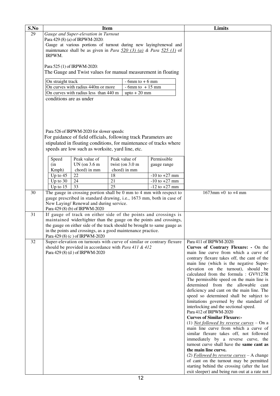| S.No |                                                                                                       |                                                                          | <b>Item</b>     |                     |                   |  | Limits                                                                                      |
|------|-------------------------------------------------------------------------------------------------------|--------------------------------------------------------------------------|-----------------|---------------------|-------------------|--|---------------------------------------------------------------------------------------------|
| 29   |                                                                                                       |                                                                          |                 |                     |                   |  |                                                                                             |
|      | Gauge and Super-elevation in Turnout<br>Para 429 (8) (a) of IRPWM-2020:                               |                                                                          |                 |                     |                   |  |                                                                                             |
|      | Gauge at various portions of turnout during new laying/renewal and                                    |                                                                          |                 |                     |                   |  |                                                                                             |
|      |                                                                                                       |                                                                          |                 |                     |                   |  |                                                                                             |
|      | maintenance shall be as given in <i>Para</i> $\frac{520}{(3)}$ (a) & <i>Para</i> $\frac{525}{(1)}$ of |                                                                          |                 |                     |                   |  |                                                                                             |
|      | IRPWM.                                                                                                |                                                                          |                 |                     |                   |  |                                                                                             |
|      |                                                                                                       | Para 525 (1) of IRPWM-2020:                                              |                 |                     |                   |  |                                                                                             |
|      |                                                                                                       | The Gauge and Twist values for manual measurement in floating            |                 |                     |                   |  |                                                                                             |
|      |                                                                                                       |                                                                          |                 |                     |                   |  |                                                                                             |
|      | On straight track                                                                                     |                                                                          |                 | $-6$ mm to $+6$ mm  |                   |  |                                                                                             |
|      |                                                                                                       | On curves with radius 440m or more                                       |                 | $-6$ mm to $+15$ mm |                   |  |                                                                                             |
|      |                                                                                                       | On curves with radius less than 440 m                                    |                 | upto $+20$ mm       |                   |  |                                                                                             |
|      | conditions are as under                                                                               |                                                                          |                 |                     |                   |  |                                                                                             |
|      |                                                                                                       |                                                                          |                 |                     |                   |  |                                                                                             |
|      |                                                                                                       |                                                                          |                 |                     |                   |  |                                                                                             |
|      |                                                                                                       |                                                                          |                 |                     |                   |  |                                                                                             |
|      |                                                                                                       |                                                                          |                 |                     |                   |  |                                                                                             |
|      |                                                                                                       |                                                                          |                 |                     |                   |  |                                                                                             |
|      |                                                                                                       | Para 526 of IRPWM-2020 for slower speeds:                                |                 |                     |                   |  |                                                                                             |
|      |                                                                                                       | For guidance of field officials, following track Parameters are          |                 |                     |                   |  |                                                                                             |
|      |                                                                                                       | stipulated in floating conditions, for maintenance of tracks where       |                 |                     |                   |  |                                                                                             |
|      |                                                                                                       | speeds are low such as worksite, yard line, etc.                         |                 |                     |                   |  |                                                                                             |
|      |                                                                                                       |                                                                          |                 |                     |                   |  |                                                                                             |
|      | Speed                                                                                                 | Peak value of                                                            |                 | Peak value of       | Permissible       |  |                                                                                             |
|      | (in                                                                                                   | UN (on 3.6 m)                                                            |                 | twist (on 3.0 m     | gauge range       |  |                                                                                             |
|      | Kmph)                                                                                                 | chord) in mm                                                             |                 | chord) in mm        |                   |  |                                                                                             |
|      | Up to $45$                                                                                            | 22                                                                       | 18              |                     | $-10$ to $+27$ mm |  |                                                                                             |
|      | Up to $30$                                                                                            | 24                                                                       | 21              |                     | $-10$ to $+27$ mm |  |                                                                                             |
|      | Up to $15$                                                                                            | $\overline{33}$                                                          | $\overline{25}$ |                     | $-12$ to $+27$ mm |  |                                                                                             |
| 30   |                                                                                                       | The gauge in crossing portion shall be 0 mm to 4 mm with respect to      |                 |                     |                   |  | $1673$ mm +0 to +4 mm                                                                       |
|      |                                                                                                       | gauge prescribed in standard drawing, i.e., 1673 mm, both in case of     |                 |                     |                   |  |                                                                                             |
|      |                                                                                                       | New Laying/ Renewal and during service.                                  |                 |                     |                   |  |                                                                                             |
|      |                                                                                                       | Para 429 (8) (b) of IRPWM-2020                                           |                 |                     |                   |  |                                                                                             |
| 31   |                                                                                                       | If gauge of track on either side of the points and crossings is          |                 |                     |                   |  |                                                                                             |
|      |                                                                                                       | maintained wider/tighter than the gauge on the points and crossings,     |                 |                     |                   |  |                                                                                             |
|      |                                                                                                       | the gauge on either side of the track should be brought to same gauge as |                 |                     |                   |  |                                                                                             |
|      |                                                                                                       | in the points and crossings, as a good maintenance practice.             |                 |                     |                   |  |                                                                                             |
|      |                                                                                                       | Para 429 (8) (c) of IRPWM-2020                                           |                 |                     |                   |  |                                                                                             |
| 32   |                                                                                                       | Super-elevation on turnouts with curve of similar or contrary flexure    |                 |                     |                   |  | Para 411 of IRPWM-2020:                                                                     |
|      |                                                                                                       | should be provided in accordance with Para 411 & 412                     |                 |                     |                   |  | Curves of Contrary Flexure: - On the                                                        |
|      |                                                                                                       | Para 429 (8) (d) of IRPWM-2020                                           |                 |                     |                   |  | main line curve from which a curve of                                                       |
|      |                                                                                                       |                                                                          |                 |                     |                   |  | contrary flexure takes off, the cant of the                                                 |
|      |                                                                                                       |                                                                          |                 |                     |                   |  | main line (which is the negative Super-                                                     |
|      |                                                                                                       |                                                                          |                 |                     |                   |  | elevation on the turnout), should be<br>calculated from the formula : GV <sup>2</sup> /127R |
|      |                                                                                                       |                                                                          |                 |                     |                   |  | The permissible speed on the main line is                                                   |
|      |                                                                                                       |                                                                          |                 |                     |                   |  | determined from the allowable cant                                                          |
|      |                                                                                                       |                                                                          |                 |                     |                   |  | deficiency and cant on the main line. The                                                   |
|      |                                                                                                       |                                                                          |                 |                     |                   |  | speed so determined shall be subject to                                                     |
|      |                                                                                                       |                                                                          |                 |                     |                   |  | limitations governed by the standard of                                                     |
|      |                                                                                                       |                                                                          |                 |                     |                   |  | interlocking and the sectional speed.                                                       |
|      |                                                                                                       |                                                                          |                 |                     |                   |  | Para 412 of IRPWM-2020                                                                      |
|      |                                                                                                       |                                                                          |                 |                     |                   |  | <b>Curves of Similar Flexure:-</b>                                                          |
|      |                                                                                                       |                                                                          |                 |                     |                   |  | (1) <i>Not followed by reverse curves</i> – On a                                            |
|      |                                                                                                       |                                                                          |                 |                     |                   |  | main line curve from which a curve of                                                       |
|      |                                                                                                       |                                                                          |                 |                     |                   |  | similar flexure takes off, not followed                                                     |
|      |                                                                                                       |                                                                          |                 |                     |                   |  | immediately by a reverse curve, the                                                         |
|      |                                                                                                       |                                                                          |                 |                     |                   |  | turnout curve shall have the same cant as                                                   |
|      |                                                                                                       |                                                                          |                 |                     |                   |  | the main line curve.                                                                        |
|      |                                                                                                       |                                                                          |                 |                     |                   |  | (2) Followed by reverse curves $- A$ change                                                 |
|      |                                                                                                       |                                                                          |                 |                     |                   |  | of cant on the turnout may be permitted                                                     |
|      |                                                                                                       |                                                                          |                 |                     |                   |  | starting behind the crossing (after the last                                                |
|      |                                                                                                       |                                                                          |                 |                     |                   |  | exit sleeper) and being run out at a rate not                                               |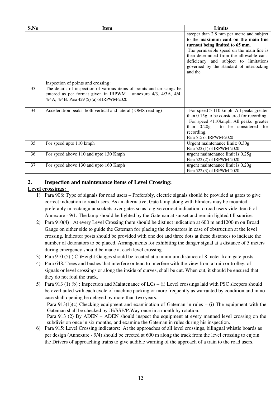| S.No | <b>Item</b>                                                                                                                                                                             | Limits                                                                                                                                                                                                                                                                                                        |
|------|-----------------------------------------------------------------------------------------------------------------------------------------------------------------------------------------|---------------------------------------------------------------------------------------------------------------------------------------------------------------------------------------------------------------------------------------------------------------------------------------------------------------|
|      |                                                                                                                                                                                         | steeper than 2.8 mm per metre and subject<br>to the maximum cant on the main line<br>turnout being limited to 65 mm.<br>The permissible speed on the main line is<br>then determined from the allowable cant-<br>deficiency and subject to limitations<br>governed by the standard of interlocking<br>and the |
|      | Inspection of points and crossing :                                                                                                                                                     |                                                                                                                                                                                                                                                                                                               |
| 33   | The details of inspection of various items of points and crossings be<br>entered as per format given in IRPWM<br>annexure 4/3, 4/3A, 4/4,<br>4/4A, 4/4B. Para 429 (5) (a) of IRPWM-2020 |                                                                                                                                                                                                                                                                                                               |
| 34   | Acceleration peaks both vertical and lateral (OMS reading)                                                                                                                              | For speed $> 110$ kmph: All peaks greater<br>than 0.15g to be considered for recording.<br>For speed <110kmph: All peaks greater<br>than $0.20g$ to be considered for<br>recording.<br>Para 515 of IRPWM-2020                                                                                                 |
| 35   | For speed upto 110 kmph                                                                                                                                                                 | Urgent maintenance limit: 0.30g<br>Para 522 (1) of IRPWM-2020                                                                                                                                                                                                                                                 |
| 36   | For speed above 110 and upto 130 Kmph                                                                                                                                                   | urgent maintenance limit is $0.25g$<br>Para 522 (2) of IRPWM-2020                                                                                                                                                                                                                                             |
| 37   | For speed above 130 and upto 160 Kmph                                                                                                                                                   | urgent maintenance limit is 0.20g<br>Para 522 (3) of IRPWM-2020                                                                                                                                                                                                                                               |

# **2. Inspection and maintenance items of Level Crossing:**

# **Level crossings:**

- 1) Para 908: Type of signals for road users Preferably, electric signals should be provided at gates to give correct indication to road users. As an alternative, Gate lamp along with blinders may be mounted preferably in rectangular sockets over gates so as to give correct indication to road users vide item 6 of Annexure - 9/1. The lamp should be lighted by the Gateman at sunset and remain lighted till sunrise.
- 2) Para 910(4) : At every Level Crossing there should be distinct indication at 600 m and1200 m on Broad Gauge on either side to guide the Gateman for placing the detonators in case of obstruction at the level crossing. Indicator posts should be provided with one dot and three dots at these distances to indicate the number of detonators to be placed. Arrangements for exhibiting the danger signal at a distance of 5 meters during emergency should be made at each level crossing.
- 3) Para 910 (5) ( C )Height Gauges should be located at a minimum distance of 8 meter from gate posts.
- 4) Para 648. Trees and bushes that interfere or tend to interfere with the view from a train or trolley, of signals or level crossings or along the inside of curves, shall be cut. When cut, it should be ensured that they do not foul the track.
- 5) Para 913 (1) (b) : Inspection and Maintenance of LCs (i) Level crossings laid with PSC sleepers should be overhauled with each cycle of machine packing or more frequently as warranted by condition and in no case shall opening be delayed by more than two years.

Para  $913(1)(c)$  Checking equipment and examination of Gateman in rules – (i) The equipment with the Gateman shall be checked by JE/SSE/P.Way once in a month by rotation.

Para 913 (2) By ADEN – ADEN should inspect the equipment at every manned level crossing on the subdivision once in six months, and examine the Gateman in rules during his inspection.

6) Para 915: Level Crossing indicators: At the approaches of all level crossings, bilingual whistle boards as per design (Annexure - 9/4) should be erected at 600 m along the track from the level crossing to enjoin the Drivers of approaching trains to give audible warning of the approach of a train to the road users.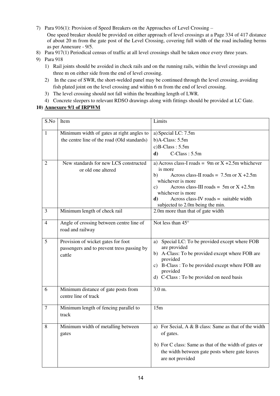- 7) Para 916(1): Provision of Speed Breakers on the Approaches of Level Crossing One speed breaker should be provided on either approach of level crossings at a Page 334 of 417 distance of about 20 m from the gate post of the Level Crossing, covering full width of the road including berms as per Annexure - 9/5.
- 8) Para 917(1) Periodical census of traffic at all level crossings shall be taken once every three years.
- 9) Para 918
	- 1) Rail joints should be avoided in check rails and on the running rails, within the level crossings and three m on either side from the end of level crossing.
	- 2) In the case of SWR, the short-welded panel may be continued through the level crossing, avoiding fish plated joint on the level crossing and within 6 m from the end of level crossing.
	- 3) The level crossing should not fall within the breathing length of LWR.
	- 4) Concrete sleepers to relevant RDSO drawings along with fittings should be provided at LC Gate.

#### **10) Annexure 9/1 of IRPWM**

| S.No             | Item                                                         | Limits                                                                         |
|------------------|--------------------------------------------------------------|--------------------------------------------------------------------------------|
| $\mathbf{1}$     | Minimum width of gates at right angles to                    | a) Special LC: 7.5m                                                            |
|                  | the centre line of the road (Old standards)                  | $b)$ A-Class: 5.5m                                                             |
|                  |                                                              | $c)$ B-Class: $5.5m$                                                           |
|                  |                                                              | $C$ -Class: $5.5m$<br>$\mathbf{d}$                                             |
| $\overline{2}$   | New standards for new LCS constructed<br>or old one altered  | a) Across class-I roads = 9m or $X + 2.5m$ whichever<br>is more                |
|                  |                                                              | Across class-II roads = $7.5$ m or X +2.5m<br>b)                               |
|                  |                                                              | whichever is more                                                              |
|                  |                                                              | Across class-III roads = $5m$ or X +2.5m<br>$\mathbf{c})$<br>whichever is more |
|                  |                                                              | Across class-IV roads = suitable width<br>d)                                   |
|                  |                                                              | subjected to 2.0m being the min.                                               |
| 3                | Minimum length of check rail                                 | 2.0m more than that of gate width                                              |
| $\overline{4}$   | Angle of crossing between centre line of<br>road and railway | Not less than $45^\circ$                                                       |
| 5                | Provision of wicket gates for foot                           | a) Special LC: To be provided except where FOB                                 |
|                  | passengers and to prevent tress passing by                   | are provided                                                                   |
|                  | cattle                                                       | b) A-Class: To be provided except where FOB are                                |
|                  |                                                              | provided                                                                       |
|                  |                                                              | c) B-Class: To be provided except where FOB are<br>provided                    |
|                  |                                                              | d) C-Class: To be provided on need basis                                       |
|                  |                                                              |                                                                                |
| 6                | Minimum distance of gate posts from                          | 3.0 m.                                                                         |
|                  | centre line of track                                         |                                                                                |
|                  |                                                              |                                                                                |
| $\boldsymbol{7}$ | Minimum length of fencing parallel to                        | 15m                                                                            |
|                  | track                                                        |                                                                                |
|                  |                                                              |                                                                                |
| 8                | Minimum width of metalling between<br>gates                  | a) For Secial, A & B class: Same as that of the width<br>of gates.             |
|                  |                                                              |                                                                                |
|                  |                                                              | b) For C class: Same as that of the width of gates or                          |
|                  |                                                              | the width between gate posts where gate leaves                                 |
|                  |                                                              | are not provided                                                               |
|                  |                                                              |                                                                                |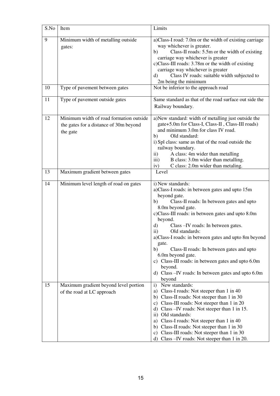| S.No | Item                                                                                          | Limits                                                                                                                                                                                                                                                                                                                                                                                                                                                                                                                                                                                       |
|------|-----------------------------------------------------------------------------------------------|----------------------------------------------------------------------------------------------------------------------------------------------------------------------------------------------------------------------------------------------------------------------------------------------------------------------------------------------------------------------------------------------------------------------------------------------------------------------------------------------------------------------------------------------------------------------------------------------|
| 9    | Minimum width of metalling outside<br>gates:                                                  | a)Class-I road: 7.0m or the width of existing carriage<br>way whichever is greater.<br>Class-II roads: 5.5m or the width of existing<br>b)<br>carriage way whichever is greater<br>c)Class-III roads: 3.78m or the width of existing<br>carriage way whichever is greater<br>Class IV roads: suitable width subjected to<br>$\rm d$<br>2m being the minimum                                                                                                                                                                                                                                  |
| 10   | Type of pavement between gates                                                                | Not be inferior to the approach road                                                                                                                                                                                                                                                                                                                                                                                                                                                                                                                                                         |
| 11   | Type of pavement outside gates                                                                | Same standard as that of the road surface out side the<br>Railway boundary.                                                                                                                                                                                                                                                                                                                                                                                                                                                                                                                  |
| 12   | Minimum width of road formation outside<br>the gates for a distance of 30m beyond<br>the gate | a)New standard: width of metalling just outside the<br>gate+5.0m for Class-I, Class-II, Class-III roads)<br>and minimum 3.0m for class IV road.<br>Old standard:<br>b)<br>i) Spl class: same as that of the road outside the<br>railway boundary.<br>A class: 4m wider than metalling<br>$\rm ii)$<br>B class: 3.0m wider than metalling.<br>$\overline{iii}$<br>C class: 2.0m wider than metaling.<br>iv)                                                                                                                                                                                   |
| 13   | Maximum gradient between gates                                                                | Level                                                                                                                                                                                                                                                                                                                                                                                                                                                                                                                                                                                        |
| 14   | Minimum level length of road on gates                                                         | i) New standards:<br>a)Class-I roads: in between gates and upto 15m<br>beyond gate.<br>Class-II roads: In between gates and upto<br>b)<br>8.0m beyond gate.<br>c)Class-III roads: in between gates and upto 8.0m<br>beyond.<br>Class - IV roads: In between gates.<br>d)<br>$\ddot{\text{ii}})$<br>Old standards:<br>a)Class-I roads: in between gates and upto 8m beyond<br>gate.<br>Class-II roads: In between gates and upto<br>b)<br>6.0m beyond gate.<br>c) Class-III roads: in between gates and upto 6.0m<br>beyond.<br>d) Class - IV roads: In between gates and upto 6.0m<br>beyond |
| 15   | Maximum gradient beyond level portion<br>of the road at LC approach                           | New standards:<br>$\mathbf{i}$<br>a) Class-I roads: Not steeper than 1 in 40<br>b) Class-II roads: Not steeper than 1 in 30<br>c) Class-III roads: Not steeper than 1 in 20<br>d) Class - IV roads: Not steeper than 1 in 15.<br>ii) Old standards:<br>a) Class-I roads: Not steeper than 1 in 40<br>b) Class-II roads: Not steeper than 1 in 30<br>c) Class-III roads: Not steeper than 1 in 30<br>d) Class - IV roads: Not steeper than 1 in 20.                                                                                                                                           |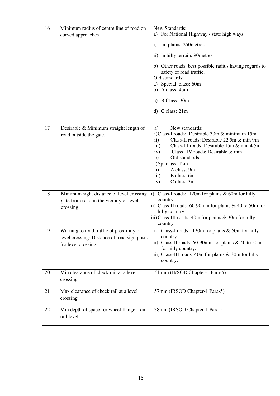| 16 | Minimum radius of centre line of road on<br>curved approaches                                                | New Standards:<br>a) For National Highway / state high ways:                                                                                                                                                                                                                                                                                                |
|----|--------------------------------------------------------------------------------------------------------------|-------------------------------------------------------------------------------------------------------------------------------------------------------------------------------------------------------------------------------------------------------------------------------------------------------------------------------------------------------------|
|    |                                                                                                              | In plains: 250 metres<br>$\mathbf{i}$                                                                                                                                                                                                                                                                                                                       |
|    |                                                                                                              | ii) In hilly terrain: 90 metres.                                                                                                                                                                                                                                                                                                                            |
|    |                                                                                                              | b) Other roads: best possible radius having regards to<br>safety of road traffic.<br>Old standards:<br>a) Special class: 60m<br>b) A class: $45m$                                                                                                                                                                                                           |
|    |                                                                                                              | c) B Class: 30m                                                                                                                                                                                                                                                                                                                                             |
|    |                                                                                                              | d) $C$ class: $21m$                                                                                                                                                                                                                                                                                                                                         |
| 17 | Desirable & Minimum straight length of<br>road outside the gate.                                             | New standards:<br>a)<br>i)Class-I roads: Desirable 30m & minimum 15m<br>$\mathbf{ii}$<br>Class-II roads: Desirable 22.5m & min 9m<br>Class-III roads: Desirable 15m & min 4.5m<br>iii)<br>Class - IV roads: Desirable & min<br>iv)<br>b)<br>Old standards:<br>i)Spl class: 12m<br>A class: 9m<br>$\mathbf{ii}$<br>iii)<br>B class: 6m<br>iv)<br>C class: 3m |
| 18 | Minimum sight distance of level crossing<br>gate from road in the vicinity of level<br>crossing              | Class-I roads: $120m$ for plains & 60m for hilly<br>$\mathbf{i}$<br>country.<br>ii) Class-II roads: 60-90mm for plains $& 40$ to 50m for<br>hilly country.<br>iii) Class-III roads: 40m for plains $&$ 30m for hilly<br>country                                                                                                                             |
| 19 | Warning to road traffic of proximity of<br>level crossing: Distance of road sign posts<br>fro level crossing | i) Class-I roads: 120m for plains & 60m for hilly<br>country.<br>ii) Class-II roads: 60-90mm for plains $& 40$ to 50m<br>for hilly country.<br>iii) Class-III roads: 40m for plains $&$ 30m for hilly<br>country.                                                                                                                                           |
| 20 | Min clearance of check rail at a level<br>crossing                                                           | 51 mm (IRSOD Chapter-1 Para-5)                                                                                                                                                                                                                                                                                                                              |
| 21 | Max clearance of check rail at a level<br>crossing                                                           | 57mm (IRSOD Chapter-1 Para-5)                                                                                                                                                                                                                                                                                                                               |
| 22 | Min depth of space for wheel flange from<br>rail level                                                       | 38mm (IRSOD Chapter-1 Para-5)                                                                                                                                                                                                                                                                                                                               |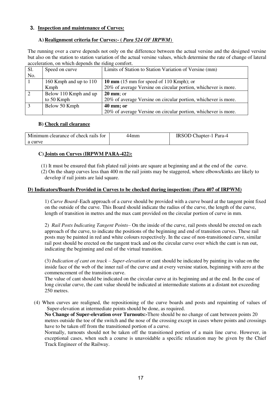#### **3. Inspection and maintenance of Curves:**

#### **A) Realignment criteria for Curves:- (** *Para 524 OF IRPWM*)

The running over a curve depends not only on the difference between the actual versine and the designed versine but also on the station to station variation of the actual versine values, which determine the rate of change of lateral acceleration, on which depends the riding comfort.

| Sl. | Speed on curve         | Limits of Station to Station Variation of Versine (mm)         |
|-----|------------------------|----------------------------------------------------------------|
| No. |                        |                                                                |
|     | 160 Kmph and up to 110 | 10 mm $(15 \text{ mm}$ for speed of 110 Kmph); or              |
|     | Kmph                   | 20% of average Versine on circular portion, whichever is more. |
| 2   | Below 110 Kmph and up  | $20 \text{ mm}$ ; or                                           |
|     | to 50 Kmph             | 20% of average Versine on circular portion, whichever is more. |
| -3  | Below 50 Kmph          | $40 \text{ mm}$ ; or                                           |
|     |                        | 20% of average Versine on circular portion, whichever is more. |

#### **B) Check rail clearance**

| Minimum clearance of check rails for | 44mm | IRSOD Chapter-1 Para-4 |
|--------------------------------------|------|------------------------|
| a curve                              |      |                        |

#### **C) Joints on Curves (IRPWM PARA-422):**

(1) It must be ensured that fish plated rail joints are square at beginning and at the end of the curve.

(2) On the sharp curves less than 400 m the rail joints may be staggered, where elbows/kinks are likely to develop if rail joints are laid square.

#### **D) Indicators/Boards Provided in Curves to be checked during inspection: (Para 407 of IRPWM)**

1) *Curve Board*–Each approach of a curve should be provided with a curve board at the tangent point fixed on the outside of the curve. This Board should indicate the radius of the curve, the length of the curve, length of transition in metres and the max cant provided on the circular portion of curve in mm.

2) *Rail Posts Indicating Tangent Points–* On the inside of the curve, rail posts should be erected on each approach of the curve, to indicate the positions of the beginning and end of transition curves. These rail posts may be painted in red and white colours respectively. In the case of non-transitioned curve, similar rail post should be erected on the tangent track and on the circular curve over which the cant is run out, indicating the beginning and end of the virtual transition.

(3) *Indication of cant on track – Super-elevation* or cant should be indicated by painting its value on the inside face of the web of the inner rail of the curve and at every versine station, beginning with zero at the commencement of the transition curve.

The value of cant should be indicated on the circular curve at its beginning and at the end. In the case of long circular curve, the cant value should be indicated at intermediate stations at a distant not exceeding 250 metres.

(4) When curves are realigned, the repositioning of the curve boards and posts and repainting of values of Super-elevation at intermediate points should be done, as required.

**No Change of Super-elevation over Turnouts:-**There should be no change of cant between points 20 metres outside the toe of the switch and the nose of the crossing except in cases where points and crossings have to be taken off from the transitioned portion of a curve.

Normally, turnouts should not be taken off the transitioned portion of a main line curve. However, in exceptional cases, when such a course is unavoidable a specific relaxation may be given by the Chief Track Engineer of the Railway.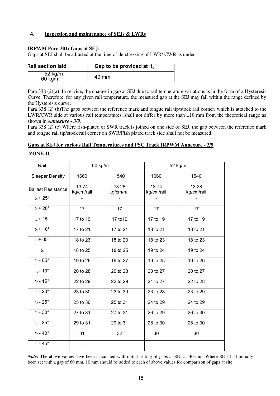#### **4. Inspection and maintenance of SEJs & LWRs**

#### **IRPWM Para 301: Gaps at SEJ:**

Gaps at SEJ shall be adjusted at the time of de-stressing of LWR/ CWR as under

| <b>Rail section laid</b> | Gap to be provided at $t_d$ . |
|--------------------------|-------------------------------|
|                          | 40 mm                         |

Para 338 (2)(a) In service, the change in gap at SEJ due to rail temperature variations is in the form of a Hysteresis Curve. Therefore, for any given rail temperature, the measured gap at the SEJ may fall within the range defined by the Hysteresis curve.

Para 338 (2) (b)The gaps between the reference mark and tongue rail tip/stock rail corner, which is attached to the LWR/CWR side at various rail temperatures, shall not differ by more than ±10 mm from the theoretical range as shown in *Annexure - 3/9*.

Para 338 (2) (c) Where fish-plated or SWR track is joined on one side of SEJ, the gap between the reference mark and tongue rail tip/stock rail corner on SWR/Fish plated track side shall not be measured.

#### **Gaps at SEJ for various Rail Temperatures and PSC Track IRPWM Annexure - 3/9**

#### **ZONE-II**

| Rail                      | 60 kg/m             |                     |                     | 52 kg/m             |
|---------------------------|---------------------|---------------------|---------------------|---------------------|
| <b>Sleeper Density</b>    | 1660                | 1540                | 1660                | 1540                |
| <b>Ballast Resistance</b> | 13.74<br>kg/cm/rail | 13.28<br>kg/cm/rail | 13.74<br>kg/cm/rail | 13.28<br>kg/cm/rail |
| $t_d$ + 25 $^{\circ}$     |                     |                     |                     |                     |
| $t_d + 20^\circ$          | 17                  | 17                  | 17                  | 17                  |
| $t_d$ + 15 $\degree$      | 17 to 19            | 17 to 19            | 17 to 19            | 17 to 19            |
| $t_d$ + 10 $^{\circ}$     | 17 to 21            | 17 to 21            | 18 to 21            | 18 to 21            |
| $t_d + 05^\circ$          | 18 to 23            | 18 to 23            | 18 to 23            | 18 to 23            |
| $t_d$                     | 18 to 25            | 18 to 25            | 19 to 24            | 19 to 24            |
| $t_d$ - 05 $^{\circ}$     | 19 to 26            | 19 to 27            | 19 to 25            | 19 to 26            |
| $t_d$ - 10 $^{\circ}$     | 20 to 28            | 20 to 28            | 20 to 27            | 20 to 27            |
| $t_d$ - 15 $^{\circ}$     | 22 to 29            | 22 to 29            | 21 to 27            | 22 to 28            |
| $t_d$ - 20 $^{\circ}$     | 23 to 30            | 23 to 30            | 23 to 28            | 23 to 29            |
| $t_d$ - 25 $^\circ$       | 25 to 30            | 25 to 31            | 24 to 29            | 24 to 29            |
| $t_d - 30^\circ$          | 27 to 31            | 27 to 31            | 26 to 29            | 26 to 30            |
| $t_d - 35^\circ$          | 29 to 31            | 29 to 31            | 28 to 30            | 28 to 30            |
| $t_d$ - $40^\circ$        | 31                  | 32                  | 30                  | 30                  |
| $t_d$ - $45^\circ$        |                     |                     |                     |                     |

*Note:* The above values have been calculated with initial setting of gaps at SEJ as 40 mm. Where SEJs had initially been set with a gap of 60 mm, 10 mm should be added to each of above values for comparison of gaps at site.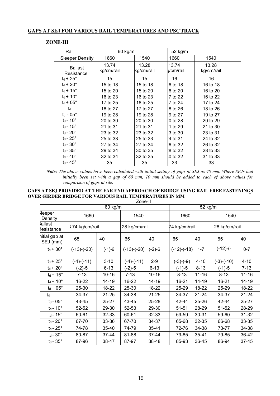#### **GAPS AT SEJ FOR VARIOUS RAIL TEMPERATURES AND PSC TRACK**

#### **ZONE-III**

| Rail                         | 60 kg/m             |                     | 52 kg/m            |                     |
|------------------------------|---------------------|---------------------|--------------------|---------------------|
| <b>Sleeper Density</b>       | 1660                | 1540                | 1660               | 1540                |
| <b>Ballast</b><br>Resistance | 13.74<br>kg/cm/rail | 13.28<br>kg/cm/rail | 13.74<br>]/cm/rail | 13.28<br>kg/cm/rail |
| $t_d$ + 25 $^\circ$          | 15                  | 15                  | 16                 | 16                  |
| $t_d$ + 20 $^{\circ}$        | 15 to 18            | 15 to 18            | 6 to 18            | 16 to 18            |
| $t_d$ + 15 $\degree$         | 15 to 20            | 15 to 20            | 6 to 20            | 16 to 20            |
| $t_d$ + 10 $\degree$         | 16 to 23            | 16 to 23            | 7 to 22            | 16 to 22            |
| $t_d$ + 05 $^{\circ}$        | 17 to 25            | 16 to 25            | 7 to 24            | 17 to 24            |
| $t_d$                        | 18 to 27            | 17 to 27            | 8 to 26            | 18 to 26            |
| $t_d - 05^\circ$             | 19 to 28            | 19 to 28            | 9 to 27            | 19 to 27            |
| $t_d$ - 10 $^{\circ}$        | 20 to 30            | 20 to 30            | 0 to 28            | 20 to 29            |
| $t_d$ - 15 $\degree$         | 21 to 31            | 21 to 31            | 1 to 29            | 21 to 30            |
| $t_d$ - 20 $^\circ$          | 23 to 32            | 23 to 32            | <b>3 to 30</b>     | 23 to 31            |
| $t_d$ - $25^\circ$           | 25 to 33            | 25 to 33            | 4 to 31            | 24 to 32            |
| $t_d - 30^\circ$             | 27 to 34            | 27 to 34            | 16 to 32           | 26 to 32            |
| $t_d$ - $35^\circ$           | 29 to 34            | 30 to 35            | <b>8 to 32</b>     | 28 to 33            |
| $t_d$ - $40^\circ$           | 32 to 34            | 32 to 35            | 0 to 32            | 31 to 33            |
| $t_d$ - 45 $^{\circ}$        | 35                  | 35                  | 33                 | 33                  |

*Note: The above values have been calculated with initial setting of gaps at SEJ as 40 mm. Where SEJs had initially been set with a gap of 60 mm, 10 mm should be added to each of above values for comparison of gaps at site.* 

#### **GAPS AT SEJ PROVIDED AT THE FAR END APPROACH OF BRIDGE USING RAIL FREE FASTENINGS OVER GIRDER BRIDGE FOR VARIOUS RAIL TEMPERATURES IN MM**

|                            |                  |                      | Zone-II          |           |               |           |               |           |
|----------------------------|------------------|----------------------|------------------|-----------|---------------|-----------|---------------|-----------|
|                            |                  | $\overline{60}$ kg/m |                  |           |               | 52 kg/m   |               |           |
| <b>i</b> leeper<br>Density | 1660             |                      | 1540             |           | 1660          |           | 1540          |           |
| lallast<br>esistance:      | 8.74 kg/cm/rail  |                      | 28 kg/cm/rail    |           | 74 kg/cm/rail |           | 28 kg/cm/rail |           |
| hitial gap at<br>SEJ (mm)  | 65               | 40                   | 65               | 40        | 65            | 40        | 65            | 40        |
| $t_d + 30^\circ$           | $(-13)-(20)$     | $(-1)-6$             | $(-13)-(20)$     | $(-2)-6$  | $(-12)-(18)$  | $1 - 7$   | $(-12)-($     | $0 - 7$   |
| $t_d$ + 25 $^{\circ}$      | $(-4)$ - $(-11)$ | $3 - 10$             | $(-4)$ - $(-11)$ | $2 - 9$   | $(-3)-(9)$    | $4 - 10$  | $(-3)-(-10)$  | $4 - 10$  |
| $t_d$ + 20 $^{\circ}$      | $(-2)-5$         | $6 - 13$             | (-2)-5           | $6 - 13$  | (-1)-5        | $8 - 13$  | $(-1)-5$      | $7 - 13$  |
| $t_d$ + 15 $^{\circ}$      | $7 - 13$         | $10 - 16$            | $7 - 13$         | $10 - 16$ | $8 - 13$      | $11 - 16$ | $8 - 13$      | $11 - 16$ |
| $t_d$ + 10 $\degree$       | 16-22            | 14-19                | 16-22            | 14-19     | 16-21         | 14-19     | 16-21         | $14 - 19$ |
| $t_d$ + 05 $^{\circ}$      | 25-30            | 18-22                | 25-30            | 18-22     | 25-29         | 18-22     | 25-29         | 18-22     |
| td                         | 34-37            | $21 - 25$            | 34-38            | $21 - 25$ | 34-37         | $21 - 24$ | 34-37         | $21 - 24$ |
| $t_d$ - $05^\circ$         | 43-45            | $25 - 27$            | 43-45            | 25-28     | 42-44         | 25-26     | 42-44         | 25-27     |
| $t_d$ - $10^\circ$         | 52-52            | 29-30                | 52-53            | 29-30     | 51-51         | 28-29     | 51-52         | 28-29     |
| $t_d$ - 15 $^\circ$        | 60-61            | 32-33                | 60-61            | 32-33     | 59-59         | 30-31     | 59-60         | $31 - 32$ |
| $t_d$ - $20^\circ$         | 67-70            | 33-36                | 67-70            | 34-37     | 65-68         | 32-35     | 66-68         | 33-35     |
| $t_d$ - $25^\circ$         | 74-78            | 35-40                | 74-79            | 35-41     | 72-76         | 34-38     | 73-77         | 34-38     |
| $t_d - 30^\circ$           | 80-87            | 37-44                | 81-88            | 37-44     | 79-85         | 35-41     | 79-85         | 36-42     |
| $t_d - 35^\circ$           | 87-96            | 38-47                | 87-97            | 38-48     | 85-93         | 36-45     | 86-94         | 37-45     |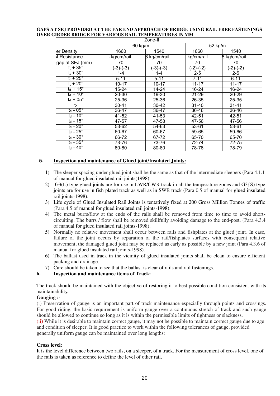#### **GAPS AT SEJ PROVIDED AT THE FAR END APPROACH OF BRIDGE USING RAIL FREE FASTENINGS OVER GIRDER BRIDGE FOR VARIOUS RAIL TEMPERATURES IN MM**

|                             |            | Zone-III     |            |                      |
|-----------------------------|------------|--------------|------------|----------------------|
|                             |            | 60 kg/m      |            | $\overline{52}$ kg/m |
| er Density                  | 1660       | 1540         | 1660       | 1540                 |
| st Resistance               | kg/cm/rail | B kg/cm/rail | kg/cm/rail | 8 kg/cm/rail         |
| gap at SEJ (mm)             | 70         | 70           | 70         | 70                   |
| $t_{d}$ + 35 $^{\circ}$     | $(-3)-(3)$ | $(-3)-(3)$   | $(-2)-(2)$ | $(-2)-(2)$           |
| $t_d + 30^\circ$            | 1-4        | 1-4          | $2 - 5$    | $2 - 5$              |
| $t_d$ + 25 $^\circ$         | $5 - 11$   | $5 - 11$     | $7 - 11$   | $6 - 11$             |
| $t_d$ + $20^\circ$          | $10 - 17$  | $10 - 17$    | $11 - 17$  | $11 - 17$            |
| $t_d$ + 15 $\degree$        | $15 - 24$  | $14 - 24$    | $16 - 24$  | 16-24                |
| $t_d$ + 10 $^{\circ}$       | 20-30      | $19 - 30$    | $21 - 29$  | $20 - 29$            |
| $t_d + 05^\circ$            | 25-36      | 25-36        | 26-35      | 25-35                |
| td                          | 30-41      | 30-42        | $31 - 40$  | $31 - 41$            |
| $t_d$ - $05^\circ$          | 36-47      | 36-47        | $36 - 46$  | $36 - 46$            |
| $t_d - 10^\circ$            | 41-52      | 41-53        | 42-51      | 42-51                |
| $t_d$ - 15 $^{\circ}$       | 47-57      | 47-58        | 47-56      | 47-56                |
| t <sub>d</sub> - 20°        | 53-62      | 54-63        | 53-61      | 53-61                |
| $t_{\sf d}$ - 25 $^{\circ}$ | 60-67      | 60-67        | 59-65      | 59-66                |
| $t_d$ - $30^\circ$          | 66-72      | 67-72        | 65-70      | 65-70                |
| $t_d - 35^\circ$            | 73-76      | 73-76        | 72-74      | 72-75                |
| $t_d - 40^\circ$            | $80 - 80$  | $80 - 80$    | 78-78      | 78-79                |

#### **5. Inspection and maintenance of Glued joint/Insulated Joints:**

- 1) The sleeper spacing under glued joint shall be the same as that of the intermediate sleepers (Para 4.1.1 of manual for glued insulated rail joints(1998)
- 2) G3(L) type glued joints are for use in LWR/CWR track in all the temperature zones and G3{S) type joints are for use in fish plated track as well as in SWR track (Para 0.5 of manual for glued insulated rail joints-1998).
- 3) Life cycle of Glued Insulated Rail Joints is tentatively fixed at 200 Gross Million Tonnes of traffic (Para 4.5 of manual for glued insulated rail joints-1998).
- 4) The metal burrs/flow at the ends of the rails shall be removed from time to time to avoid shortcircuiting. The burrs / flow shall be removed skillfully avoiding damage to the end-post. (Para 4.3.4 of manual for glued insulated rail joints-1998).
- 5) Normally no relative movement shall occur between rails and fishplates at the glued joint. In case, failure of the joint occurs by separation of the rail/fishplates surfaces with consequent relative movement, the damaged glued joint may be replaced as early as possible by a new joint (Para 4.3.6 of manual for glued insulated rail joints-1998).
- 6) The ballast used in track in the vicinity of glued insulated joints shall be clean to ensure efficient packing and drainage.
- 7) Care should be taken to see that the ballast is clear of rails and rail fastenings.
- **6. Inspection and maintenance items of Track:**

The track should be maintained with the objective of restoring it to best possible condition consistent with its maintainability*.* 

#### **Gauging :-**

(i) Preservation of gauge is an important part of track maintenance especially through points and crossings. For good riding, the basic requirement is uniform gauge over a continuous stretch of track and such gauge should be allowed to continue so long as it is within the permissible limits of tightness or slackness.

(ii) While it is desirable to maintain correct gauge, it may not be possible to maintain correct gauge due to age and condition of sleeper. It is good practice to work within the following tolerances of gauge, provided generally uniform gauge can be maintained over long lengths:

#### **Cross level**:

It is the level difference between two rails, on a sleeper, of a track. For the measurement of cross level, one of the rails is taken as reference to define the level of other rail.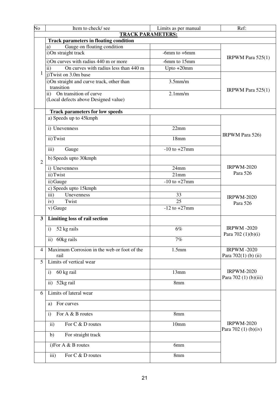| No                      | Item to check/see                                                               | Limits as per manual | Ref:                                       |  |
|-------------------------|---------------------------------------------------------------------------------|----------------------|--------------------------------------------|--|
|                         | <b>TRACK PARAMETERS:</b>                                                        |                      |                                            |  |
|                         | <b>Track parameters in floating condition</b>                                   |                      |                                            |  |
|                         | Gauge on floating condition<br>a)                                               |                      |                                            |  |
|                         | i)On straight track                                                             | -6mm to $+6$ mm      | IRPWM Para $525(1)$                        |  |
|                         | i)On curves with radius 440 m or more                                           | -6mm to 15mm         |                                            |  |
|                         | On curves with radius less than 440 m<br>$\rm ii)$                              | Upto $+20$ mm        |                                            |  |
| $\mathbf{1}$            | i)Twist on 3.0m base                                                            |                      |                                            |  |
|                         | i)On straight and curve track, other than<br>transition                         | $3.5$ mm/m           |                                            |  |
|                         | On transition of curve<br>$\mathbf{ii}$<br>(Local defects above Designed value) | $2.1$ mm/m           | IRPWM Para $525(1)$                        |  |
|                         | <b>Track parameters for low speeds</b>                                          |                      |                                            |  |
|                         | a) Speeds up to 45kmph                                                          |                      |                                            |  |
|                         | i) Unevenness                                                                   | 22mm                 |                                            |  |
|                         | ii) Twist                                                                       | 18mm                 | <b>IRPWM Para 526)</b>                     |  |
|                         | iii)<br>Gauge                                                                   | $-10$ to $+27$ mm    |                                            |  |
| $\overline{2}$          | b) Speeds upto 30kmph                                                           |                      |                                            |  |
|                         | i) Unevenness                                                                   | 24mm                 | <b>IRPWM-2020</b><br>Para 526              |  |
|                         | ii) Twist                                                                       | 21mm                 |                                            |  |
|                         | ii) Gauge                                                                       | $-10$ to $+27$ mm    |                                            |  |
|                         | c) Speeds upto 15kmph                                                           |                      |                                            |  |
|                         | iii)<br>Unevenness                                                              | 33                   |                                            |  |
|                         | Twist<br>iv)                                                                    | 25                   | <b>IRPWM-2020</b>                          |  |
|                         | v) Gauge                                                                        | $-12$ to $+27$ mm    | Para 526                                   |  |
| $\overline{\mathbf{3}}$ | Limiting loss of rail section                                                   |                      |                                            |  |
|                         | 52 kg rails<br>$\mathbf{i}$                                                     | 6%                   | <b>IRPWM-2020</b>                          |  |
|                         |                                                                                 |                      | Para 702 (1)(b)(i)                         |  |
|                         | 60kg rails<br>$\mathbf{ii}$                                                     | 7%                   |                                            |  |
| 4                       | Maximum Corrosion in the web or foot of the<br>rail                             | 1.5 <sub>mm</sub>    | <b>IRPWM-2020</b><br>Para 702(1) (b) (ii)  |  |
| 5                       | Limits of vertical wear                                                         |                      |                                            |  |
|                         | 60 kg rail<br>$\mathbf{i}$                                                      | 13mm                 | <b>IRPWM-2020</b><br>Para 702 (1) (b)(iii) |  |
|                         | 52kg rail<br>$\mathbf{ii}$                                                      | 8mm                  |                                            |  |
| 6                       | Limits of lateral wear                                                          |                      |                                            |  |
|                         | For curves<br>a)                                                                |                      |                                            |  |
|                         | For A & B routes<br>$\mathbf{i}$                                                | 8mm                  |                                            |  |
|                         | $\mathbf{ii}$<br>For C & D routes                                               | 10mm                 | <b>IRPWM-2020</b><br>Para 702 (1) (b)(iv)  |  |
|                         | For straight track<br>b)                                                        |                      |                                            |  |
|                         | i)For A & B routes                                                              | 6mm                  |                                            |  |
|                         | iii)<br>For C & D routes                                                        | 8mm                  |                                            |  |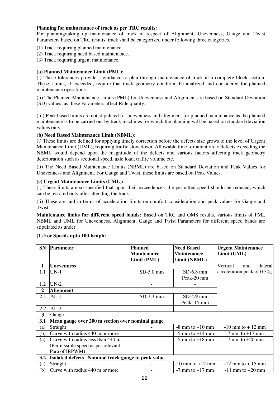#### **Planning for maintenance of track as per TRC results:**

For planning/taking up maintenance of track in respect of Alignment, Unevenness, Gauge and Twist Parameters based on TRC results, track shall be categorized under following three categories.

- (1) Track requiring planned maintenance.
- (2) Track requiring need based maintenance.
- (3) Track requiring urgent maintenance.

#### **(a) Planned Maintenance Limit (PML):**

(i) These tolerances provide a guidance to plan through maintenance of track in a complete block section. These Limits, if exceeded, require that track geometry condition be analyzed and considered for planned maintenance operations.

(ii) The Planned Maintenance Limits (PML) for Unevenness and Alignment are based on Standard Deviation (SD) values, as these Parameters affect Ride quality.

(iii) Peak based limits are not stipulated for unevenness and alignment for planned maintenance as the planned maintenance is to be carried out by track machines for which the planning will be based on standard deviation values only.

#### **(b) Need Based Maintenance Limit (NBML):**

(i) These limits are defined for applying timely correction before the defects size grows to the level of Urgent Maintenance Limit (UML); requiring traffic slow down. Allowable time for attention to defects exceeding the NBML would depend upon the magnitude of the defects and various factors affecting track geometry deterioration such as sectional speed, axle load, traffic volume etc.

(ii) The Need Based Maintenance Limits (NBML) are based on Standard Deviation and Peak Values for Unevenness and Alignment. For Gauge and Twist, these limits are based on Peak Values.

#### **(c) Urgent Maintenance Limits (UML):**

(i) These limits are so specified that upon their exceedences, the permitted speed should be reduced; which can be restored only after attending the track.

(ii) These are laid in terms of acceleration limits on comfort consideration and peak values for Gauge and Twist.

**Maintenance limits for different speed bands:** Based on TRC and OMS results, various limits of PML NBML and UML for Unevenness, Alignment, Gauge and Twist Parameters for different speed bands are stipulated as under.

#### **(1) For Speeds upto 100 Kmph:**

| <b>SN</b>        | <b>Parameter</b>                                     | <b>Planned</b>           | <b>Need Based</b>    | <b>Urgent Maintenance</b>         |
|------------------|------------------------------------------------------|--------------------------|----------------------|-----------------------------------|
|                  |                                                      | <b>Maintenance</b>       | <b>Maintenance</b>   | Limit (UML)                       |
|                  |                                                      | Limit (PML)              | Limit (NBML)         |                                   |
| 1                | Unevenness                                           |                          |                      | Vertical<br><i>lateral</i><br>and |
| 1.1              | $UN-1$                                               | $SD-5.0$ mm              | $SD-6.8$ mm          | acceleration peak of 0.30g        |
|                  |                                                      |                          | Peak-20 mm           |                                   |
| 1.2              | $UN-2$                                               | $\overline{\phantom{a}}$ |                      |                                   |
| $\boldsymbol{2}$ | <b>Alignment</b>                                     |                          |                      |                                   |
| 2.1              | $AL-1$                                               | $SD-3.3$ mm              | $SD-4.9$ mm          |                                   |
|                  |                                                      |                          | Peak -15 mm          |                                   |
| 2.2              | $AL-2$                                               |                          |                      |                                   |
| 3                | Gauge                                                |                          |                      |                                   |
| 3.1              | Mean gauge over 200 m section over nominal gauge     |                          |                      |                                   |
| (a)              | Straight                                             |                          | $-8$ mm to $+10$ mm  | $-10$ mm to $+12$ mm              |
| (b)              | Curve with radius 440 m or more                      |                          | $-5$ mm to $+14$ mm  | $-7$ mm to $+17$ mm               |
| (c)              | Curve with radius less than 440 m                    |                          | $-5$ mm to $+18$ mm  | $-7$ mm to $+20$ mm               |
|                  | (Permissible speed as per relevant                   |                          |                      |                                   |
|                  | Para of IRPWM)                                       |                          |                      |                                   |
| 3.2              | Isolated defects – Nominal track gauge to peak value |                          |                      |                                   |
| (a)              | Straight                                             |                          | $-10$ mm to $+12$ mm | $-12$ mm to $+15$ mm              |
| (b)              | Curve with radius 440 m or more                      |                          | $-7$ mm to $+17$ mm  | $-11$ mm to $+20$ mm              |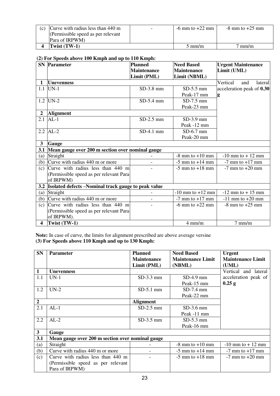| (c) Curve with radius less than $440 \text{ m}$ | $\overline{\phantom{0}}$ | $-6$ mm to $+22$ mm | $-8$ mm to $+25$ mm |
|-------------------------------------------------|--------------------------|---------------------|---------------------|
| (Permissible speed as per relevant              |                          |                     |                     |
| Para of IRPWM)                                  |                          |                     |                     |
| [wist $(TW-1)$ ]                                |                          | $5 \text{ mm/m}$    | mm/m                |

#### **(2) For Speeds above 100 Kmph and up to 110 Kmph:**

|                      | $\left(-\right)$ = 0.2 $\sim$ poot as as 0.10 $\pm$ 0.0 $\pm$ 2.1111<br><b>SN</b> Parameter | <b>Planned</b>     | <b>Need Based</b>    | <b>Urgent Maintenance</b>  |
|----------------------|---------------------------------------------------------------------------------------------|--------------------|----------------------|----------------------------|
|                      |                                                                                             | <b>Maintenance</b> | <b>Maintenance</b>   | Limit (UML)                |
|                      |                                                                                             | Limit (PML)        | Limit (NBML)         |                            |
| $\mathbf{1}$         | <b>Unevenness</b>                                                                           |                    |                      | Vertical<br>and<br>lateral |
| 1.1                  | $UN-1$                                                                                      | $SD-3.8$ mm        | $SD-5.5$ mm          | acceleration peak of 0.30  |
|                      |                                                                                             |                    | Peak-17 mm           | g                          |
| 1.2                  | $UN-2$                                                                                      | $SD-5.4$ mm        | $SD-7.5$ mm          |                            |
|                      |                                                                                             |                    | Peak-23 mm           |                            |
| 2 <sup>1</sup>       | <b>Alignment</b>                                                                            |                    |                      |                            |
| 2.1                  | $AL-1$                                                                                      | $SD-2.5$ mm        | $SD-3.9$ mm          |                            |
|                      |                                                                                             |                    | Peak -12 mm          |                            |
|                      | $2.2$ AL-2                                                                                  | $SD-4.1$ mm        | $SD-6.7$ mm          |                            |
|                      |                                                                                             |                    | Peak-20 mm           |                            |
| 3 <sup>1</sup>       | <b>Gauge</b>                                                                                |                    |                      |                            |
| 3.1                  | Mean gauge over 200 m section over nominal gauge                                            |                    |                      |                            |
| (a)                  | Straight                                                                                    |                    | $-8$ mm to $+10$ mm  | $-10$ mm to $+12$ mm       |
|                      | (b) Curve with radius $440$ m or more                                                       |                    | $-5$ mm to $+14$ mm  | $-7$ mm to $+17$ mm        |
| (c)                  | Curve with radius less than 440 m                                                           |                    | $-5$ mm to $+18$ mm  | $-7$ mm to $+20$ mm        |
|                      | (Permissible speed as per relevant Para)                                                    |                    |                      |                            |
|                      | of IRPWM)                                                                                   |                    |                      |                            |
| 3.2                  | Isolated defects -Nominal track gauge to peak value                                         |                    |                      |                            |
| (a)                  | Straight                                                                                    |                    | $-10$ mm to $+12$ mm | $-12$ mm to $+15$ mm       |
| (b)                  | Curve with radius 440 m or more                                                             |                    | $-7$ mm to $+17$ mm  | $-11$ mm to $+20$ mm       |
| (c)                  | Curve with radius less than 440 m                                                           |                    | $-6$ mm to $+22$ mm  | $-8$ mm to $+25$ mm        |
|                      | (Permissible speed as per relevant Para                                                     |                    |                      |                            |
|                      | of IRPWM).                                                                                  |                    |                      |                            |
| $\blacktriangleleft$ | Twist (TW-1)                                                                                |                    | $4$ mm/m             | $7$ mm/m                   |

**Note:** In case of curve, the limits for alignment prescribed are above average versine **(3) For Speeds above 110 Kmph and up to 130 Kmph:** 

| <b>SN</b>        | <b>Parameter</b>                                 | <b>Planned</b>     | <b>Need Based</b>        | <b>Urgent</b>            |
|------------------|--------------------------------------------------|--------------------|--------------------------|--------------------------|
|                  |                                                  | <b>Maintenance</b> | <b>Maintenance Limit</b> | <b>Maintenance Limit</b> |
|                  |                                                  | Limit (PML)        | (NBML)                   | (UML)                    |
| 1                | <b>Unevenness</b>                                |                    |                          | Vertical and lateral     |
| 1.1              | $UN-1$                                           | $SD-3.3$ mm        | $SD-4.9$ mm              | acceleration peak of     |
|                  |                                                  |                    | Peak-15 mm               | $0.25$ g                 |
| 1.2              | $UN-2$                                           | $SD-5.1$ mm        | $SD-7.4$ mm              |                          |
|                  |                                                  |                    | Peak-22 mm               |                          |
| $\boldsymbol{2}$ |                                                  | <b>Alignment</b>   |                          |                          |
| 2.1              | $AL-1$                                           | $SD-2.5$ mm        | $SD-3.6$ mm              |                          |
|                  |                                                  |                    | Peak -11 mm              |                          |
| 2.2              | $AL-2$                                           | $SD-3.5$ mm        | $SD-5.3$ mm              |                          |
|                  |                                                  |                    | Peak-16 mm               |                          |
| $\mathbf{3}$     | Gauge                                            |                    |                          |                          |
| 3.1              | Mean gauge over 200 m section over nominal gauge |                    |                          |                          |
| (a)              | Straight                                         |                    | $-8$ mm to $+10$ mm      | $-10$ mm to $+12$ mm     |
| (b)              | Curve with radius 440 m or more                  |                    | $-5$ mm to $+14$ mm      | $-7$ mm to $+17$ mm      |
| (c)              | Curve with radius less than 440 m                |                    | $-5$ mm to $+18$ mm      | $-7$ mm to $+20$ mm      |
|                  | (Permissible speed as per relevant               |                    |                          |                          |
|                  | Para of IRPWM)                                   |                    |                          |                          |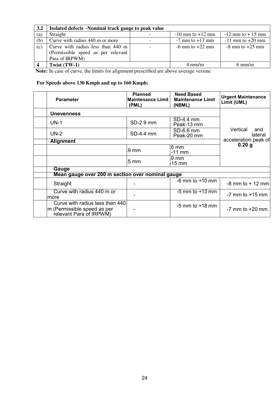| 3.2 | Isolated defects -Nominal track gauge to peak value |                      |                      |
|-----|-----------------------------------------------------|----------------------|----------------------|
| (a) | Straight                                            | $-10$ mm to $+12$ mm | $-12$ mm to $+15$ mm |
| (b) | Curve with radius 440 m or more                     | $-7$ mm to $+17$ mm  | $-11$ mm to $+20$ mm |
| (c) | Curve with radius less than 440 m                   | $-6$ mm to $+22$ mm  | $-8$ mm to $+25$ mm  |
|     | (Permissible speed as per relevant                  |                      |                      |
|     | Para of IRPWM)                                      |                      |                      |
|     | Twist (TW-1)                                        | $4 \text{ mm/m}$     | $6 \text{ mm/m}$     |

**Note:** In case of curve, the limits for alignment prescribed are above average versine

# **For Speeds above 130 Kmph and up to 160 Kmph:**

| <b>Parameter</b>                                                                          | <b>Planned</b><br><b>Maintenance Limit I</b><br>(PML) | <b>Need Based</b><br><b>Maintenance Limit</b><br>(NBML) | <b>Urgent Maintenance</b><br>Limit (UML) |
|-------------------------------------------------------------------------------------------|-------------------------------------------------------|---------------------------------------------------------|------------------------------------------|
| <b>Unevenness</b>                                                                         |                                                       |                                                         |                                          |
| $UN-1$                                                                                    | SD-2.9 mm                                             | SD-4.4 mm<br>Peak-13 mm                                 |                                          |
| $UN-2$                                                                                    | SD-4.4 mm                                             | SD-6.6 mm<br>Peak-20 mm                                 | Vertical<br>and<br>lateral               |
| <b>Alignment</b>                                                                          |                                                       |                                                         | acceleration peak of                     |
|                                                                                           | .9 mm                                                 | 6 <sub>mm</sub><br>-11 mm                               | 0.20 g                                   |
|                                                                                           | .5 mm                                                 | .9 mm<br>-15 mm                                         |                                          |
| Gauge                                                                                     |                                                       |                                                         |                                          |
| Mean gauge over 200 m section over nominal gauge                                          |                                                       |                                                         |                                          |
| Straight                                                                                  |                                                       | $-6$ mm to $+10$ mm                                     | $-8$ mm to $+12$ mm                      |
| Curve with radius 440 m or<br>more                                                        |                                                       | $-5$ mm to $+13$ mm                                     | $-7$ mm to $+15$ mm                      |
| Curve with radius less than 440<br>m (Permissible speed as per<br>relevant Para of IRPWM) |                                                       | $-5$ mm to $+18$ mm                                     | $-7$ mm to $+20$ mm                      |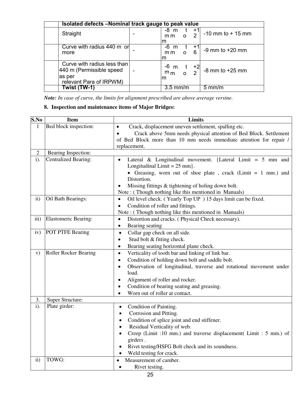|                                                                                               | Isolated defects -Nominal track gauge to peak value |                                               |                       |                      |
|-----------------------------------------------------------------------------------------------|-----------------------------------------------------|-----------------------------------------------|-----------------------|----------------------|
| Straight                                                                                      |                                                     | -8 m<br>m m<br>$\Omega$<br>m                  | $+1$<br>$\mathcal{P}$ | $-10$ mm to $+15$ mm |
| Curve with radius 440 m or<br>more                                                            |                                                     | $-6 \text{ m}$<br>$\overline{O}$<br>mm<br>ım  | $+1$<br>6             | $-9$ mm to $+20$ mm  |
| Curve with radius less than<br>440 m (Permissible speed<br>las per<br>relevant Para of IRPWM) |                                                     | $-m \tfrac{+2}{m}$<br>m <sub>m</sub> o 2<br>m |                       | $-8$ mm to $+25$ mm  |
| Twist (TW-1)                                                                                  |                                                     | $3.5$ mm/m                                    |                       | $5 \text{ mm/m}$     |

*Note: In case of curve, the limits for alignment prescribed are above average versine.* 

# **8. Inspection and maintenance items of Major Bridges:**

| S.No           | <b>Item</b>                 | Limits                                                                                                                   |  |  |
|----------------|-----------------------------|--------------------------------------------------------------------------------------------------------------------------|--|--|
| $\mathbf{1}$   | Bed block inspection:       | Crack, displacement uneven settlement, spalling etc.                                                                     |  |  |
|                |                             | Crack above 5mm needs physical attention of Bed Block. Settlement                                                        |  |  |
|                |                             | of Bed Block more than 10 mm needs immediate attention for repair /                                                      |  |  |
|                |                             | replacement.                                                                                                             |  |  |
| $\overline{2}$ | Bearing Inspection:         |                                                                                                                          |  |  |
| $i$ ).         | <b>Centralized Bearing:</b> | Lateral & Longitudinal movement. {Lateral Limit = $5 \text{ mm}$ and<br>$\bullet$                                        |  |  |
|                |                             | Longitudinal Limit = $25$ mm }.                                                                                          |  |  |
|                |                             | • Greasing, worn out of shoe plate, crack (Limit $= 1$ mm.) and<br>Distortion.                                           |  |  |
|                |                             |                                                                                                                          |  |  |
|                |                             | Missing fittings & tightening of holing down bolt.<br>$\bullet$<br>Note: (Though nothing like this mentioned in Manuals) |  |  |
| $\mathbf{ii}$  | Oil Bath Bearings:          | Oil level check. (Yearly Top UP) 15 days limit can be fixed.<br>$\bullet$                                                |  |  |
|                |                             | Condition of roller and fittings.<br>$\bullet$                                                                           |  |  |
|                |                             | Note: (Though nothing like this mentioned in Manuals)                                                                    |  |  |
| iii)           | <b>Elastomeric Bearing:</b> | Distortion and cracks. (Physical Check necessary).<br>$\bullet$                                                          |  |  |
|                |                             | Bearing seating<br>$\bullet$                                                                                             |  |  |
| iv)            | POT PTFE Bearing            | Collar gap check on all side.<br>$\bullet$                                                                               |  |  |
|                |                             | Stud bolt & fitting check.<br>$\bullet$                                                                                  |  |  |
|                |                             | Bearing seating horizontal plane check.<br>$\bullet$                                                                     |  |  |
| V)             | Roller Rocker Bearing       | Verticality of tooth bar and linking of link bar.<br>$\bullet$                                                           |  |  |
|                |                             | Condition of holding down bolt and saddle bolt.<br>$\bullet$                                                             |  |  |
|                |                             | Observation of longitudinal, traverse and rotational movement under<br>$\bullet$                                         |  |  |
|                |                             | load.                                                                                                                    |  |  |
|                |                             | Alignment of roller and rocker.<br>$\bullet$                                                                             |  |  |
|                |                             | Condition of bearing seating and greasing.<br>٠                                                                          |  |  |
|                |                             | Worn out of roller at contact.                                                                                           |  |  |
| 3.             | Super Structure:            |                                                                                                                          |  |  |
| $i$ ).         | Plate girder:               | Condition of Painting.<br>$\bullet$                                                                                      |  |  |
|                |                             | Corrosion and Pitting.<br>$\bullet$                                                                                      |  |  |
|                |                             | Condition of splice joint and end stiffener.                                                                             |  |  |
|                |                             | Residual Verticality of web.                                                                                             |  |  |
|                |                             | Creep (Limit :10 mm.) and traverse displacement (Limit : 5 mm.) of                                                       |  |  |
|                |                             | girders.                                                                                                                 |  |  |
|                |                             | Rivet testing/HSFG Bolt check and its soundness.                                                                         |  |  |
|                |                             | Weld testing for crack.                                                                                                  |  |  |
| $\mathbf{ii}$  | TOWG:                       | Measurement of camber.<br>$\bullet$                                                                                      |  |  |
|                |                             | Rivet testing.<br>$\bullet$                                                                                              |  |  |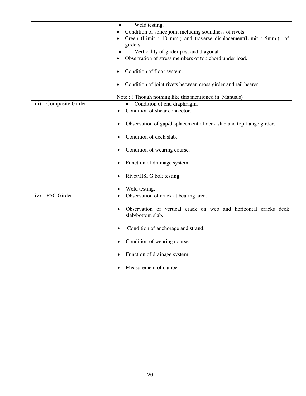|                           | Weld testing.<br>Condition of splice joint including soundness of rivets.            |  |  |
|---------------------------|--------------------------------------------------------------------------------------|--|--|
|                           | Creep (Limit: 10 mm.) and traverse displacement(Limit: 5mm.)<br>of<br>girders.       |  |  |
|                           | Verticality of girder post and diagonal.                                             |  |  |
|                           | Observation of stress members of top chord under load.                               |  |  |
|                           | Condition of floor system.                                                           |  |  |
|                           | Condition of joint rivets between cross girder and rail bearer.                      |  |  |
|                           | Note: (Though nothing like this mentioned in Manuals)                                |  |  |
| iii)<br>Composite Girder: | Condition of end diaphragm.                                                          |  |  |
|                           | Condition of shear connector.                                                        |  |  |
|                           | Observation of gap/displacement of deck slab and top flange girder.<br>$\bullet$     |  |  |
|                           | Condition of deck slab.                                                              |  |  |
|                           | Condition of wearing course.                                                         |  |  |
|                           | Function of drainage system.                                                         |  |  |
|                           | Rivet/HSFG bolt testing.<br>٠                                                        |  |  |
|                           | Weld testing.                                                                        |  |  |
| PSC Girder:<br>iv)        | Observation of crack at bearing area.<br>$\bullet$                                   |  |  |
|                           | Observation of vertical crack on web and horizontal cracks deck<br>slab/bottom slab. |  |  |
|                           | Condition of anchorage and strand.                                                   |  |  |
|                           | Condition of wearing course.                                                         |  |  |
|                           | Function of drainage system.                                                         |  |  |
|                           | Measurement of camber.                                                               |  |  |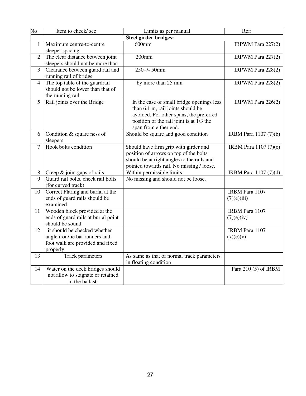| $\overline{No}$ | Item to check/see                                                                                               | Limits as per manual                                                                                                                                                                           | Ref:                           |
|-----------------|-----------------------------------------------------------------------------------------------------------------|------------------------------------------------------------------------------------------------------------------------------------------------------------------------------------------------|--------------------------------|
|                 |                                                                                                                 | <b>Steel girder bridges:</b>                                                                                                                                                                   |                                |
| $\mathbf{1}$    | Maximum centre-to-centre<br>sleeper spacing                                                                     | $600$ mm                                                                                                                                                                                       | IRPWM Para $227(2)$            |
| $\overline{2}$  | The clear distance between joint<br>sleepers should not be more than                                            | $200$ mm                                                                                                                                                                                       | IRPWM Para $227(2)$            |
| 3               | Clearance between guard rail and<br>running rail of bridge                                                      | $250 + 50$ mm                                                                                                                                                                                  | IRPWM Para 228(2)              |
| $\overline{4}$  | The top table of the guardrail<br>should not be lower than that of<br>the running rail                          | by more than 25 mm                                                                                                                                                                             | IRPWM Para 228(2)              |
| 5               | Rail joints over the Bridge                                                                                     | In the case of small bridge openings less<br>than 6.1 m, rail joints should be<br>avoided. For other spans, the preferred<br>position of the rail joint is at 1/3 the<br>span from either end. | IRPWM Para 226(2)              |
| 6               | Condition & square ness of<br>sleepers                                                                          | Should be square and good condition                                                                                                                                                            | IRBM Para 1107 (7)(b)          |
| $\overline{7}$  | Hook bolts condition                                                                                            | Should have firm grip with girder and<br>position of arrows on top of the bolts<br>should be at right angles to the rails and<br>pointed towards rail. No missing / loose.                     | <b>IRBM</b> Para $1107 (7)(c)$ |
| 8               | Creep & joint gaps of rails                                                                                     | Within permissible limits                                                                                                                                                                      | IRBM Para 1107 (7)(d)          |
| $\overline{9}$  | Guard rail bolts, check rail bolts<br>(for curved track)                                                        | No missing and should not be loose.                                                                                                                                                            |                                |
| 10              | Correct Flaring and burial at the<br>ends of guard rails should be<br>examined                                  |                                                                                                                                                                                                | IRBM Para 1107<br>(7)(e)(iii)  |
| 11              | Wooden block provided at the<br>ends of guard rails at burial point<br>should be sound.                         |                                                                                                                                                                                                | IRBM Para 1107<br>(7)(e)(iv)   |
| 12              | it should be checked whether<br>angle iron/tie bar runners and<br>foot walk are provided and fixed<br>properly. |                                                                                                                                                                                                | IRBM Para 1107<br>(7)(e)(v)    |
| 13              | Track parameters                                                                                                | As same as that of normal track parameters<br>in floating condition                                                                                                                            |                                |
| 14              | Water on the deck bridges should<br>not allow to stagnate or retained<br>in the ballast.                        |                                                                                                                                                                                                | Para 210 (5) of IRBM           |